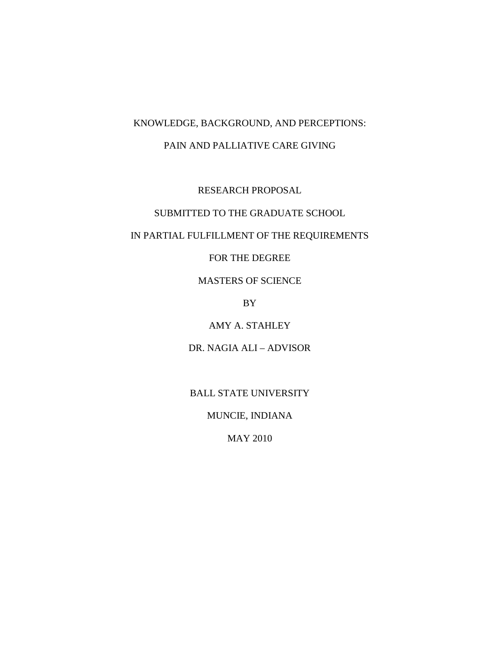# KNOWLEDGE, BACKGROUND, AND PERCEPTIONS:

## PAIN AND PALLIATIVE CARE GIVING

RESEARCH PROPOSAL

SUBMITTED TO THE GRADUATE SCHOOL

## IN PARTIAL FULFILLMENT OF THE REQUIREMENTS

FOR THE DEGREE

MASTERS OF SCIENCE

BY

AMY A. STAHLEY

DR. NAGIA ALI – ADVISOR

BALL STATE UNIVERSITY

MUNCIE, INDIANA

MAY 2010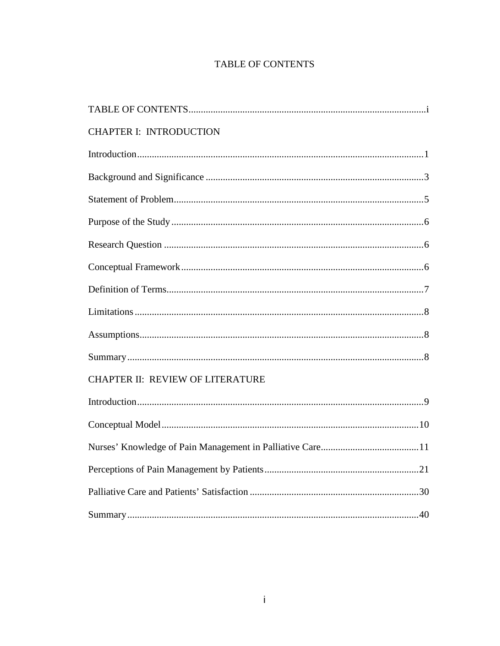# **TABLE OF CONTENTS**

| <b>CHAPTER I: INTRODUCTION</b>   |
|----------------------------------|
|                                  |
|                                  |
|                                  |
|                                  |
|                                  |
|                                  |
|                                  |
|                                  |
|                                  |
|                                  |
| CHAPTER II: REVIEW OF LITERATURE |
|                                  |
|                                  |
|                                  |
|                                  |
|                                  |
|                                  |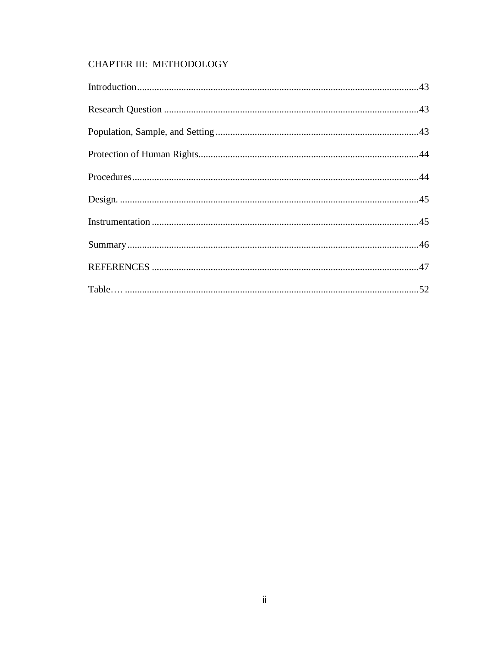# CHAPTER III: METHODOLOGY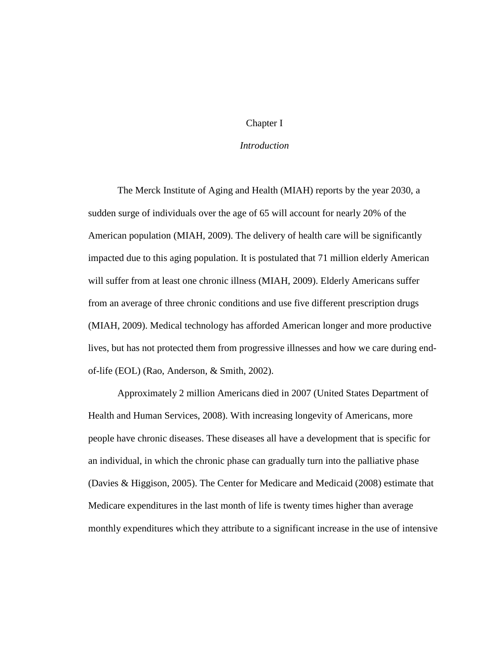## Chapter I

## *Introduction*

The Merck Institute of Aging and Health (MIAH) reports by the year 2030, a sudden surge of individuals over the age of 65 will account for nearly 20% of the American population (MIAH, 2009). The delivery of health care will be significantly impacted due to this aging population. It is postulated that 71 million elderly American will suffer from at least one chronic illness (MIAH, 2009). Elderly Americans suffer from an average of three chronic conditions and use five different prescription drugs (MIAH, 2009). Medical technology has afforded American longer and more productive lives, but has not protected them from progressive illnesses and how we care during endof-life (EOL) (Rao, Anderson, & Smith, 2002).

Approximately 2 million Americans died in 2007 (United States Department of Health and Human Services, 2008). With increasing longevity of Americans, more people have chronic diseases. These diseases all have a development that is specific for an individual, in which the chronic phase can gradually turn into the palliative phase (Davies & Higgison, 2005). The Center for Medicare and Medicaid (2008) estimate that Medicare expenditures in the last month of life is twenty times higher than average monthly expenditures which they attribute to a significant increase in the use of intensive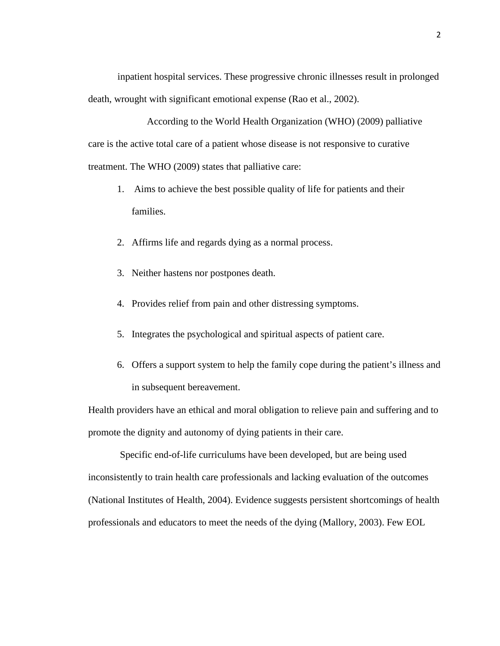inpatient hospital services. These progressive chronic illnesses result in prolonged death, wrought with significant emotional expense (Rao et al., 2002).

According to the World Health Organization (WHO) (2009) palliative care is the active total care of a patient whose disease is not responsive to curative treatment. The WHO (2009) states that palliative care:

- 1. Aims to achieve the best possible quality of life for patients and their families.
- 2. Affirms life and regards dying as a normal process.
- 3. Neither hastens nor postpones death.
- 4. Provides relief from pain and other distressing symptoms.
- 5. Integrates the psychological and spiritual aspects of patient care.
- 6. Offers a support system to help the family cope during the patient's illness and in subsequent bereavement.

Health providers have an ethical and moral obligation to relieve pain and suffering and to promote the dignity and autonomy of dying patients in their care.

 Specific end-of-life curriculums have been developed, but are being used inconsistently to train health care professionals and lacking evaluation of the outcomes (National Institutes of Health, 2004). Evidence suggests persistent shortcomings of health professionals and educators to meet the needs of the dying (Mallory, 2003). Few EOL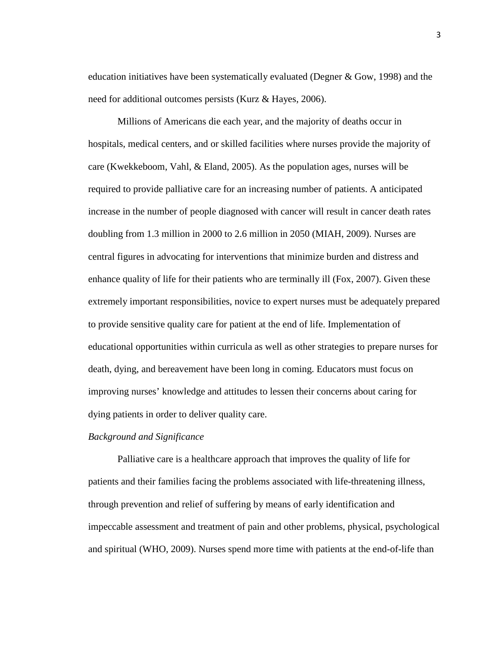education initiatives have been systematically evaluated (Degner & Gow, 1998) and the need for additional outcomes persists (Kurz & Hayes, 2006).

Millions of Americans die each year, and the majority of deaths occur in hospitals, medical centers, and or skilled facilities where nurses provide the majority of care (Kwekkeboom, Vahl, & Eland, 2005). As the population ages, nurses will be required to provide palliative care for an increasing number of patients. A anticipated increase in the number of people diagnosed with cancer will result in cancer death rates doubling from 1.3 million in 2000 to 2.6 million in 2050 (MIAH, 2009). Nurses are central figures in advocating for interventions that minimize burden and distress and enhance quality of life for their patients who are terminally ill (Fox, 2007). Given these extremely important responsibilities, novice to expert nurses must be adequately prepared to provide sensitive quality care for patient at the end of life. Implementation of educational opportunities within curricula as well as other strategies to prepare nurses for death, dying, and bereavement have been long in coming. Educators must focus on improving nurses' knowledge and attitudes to lessen their concerns about caring for dying patients in order to deliver quality care.

## *Background and Significance*

Palliative care is a healthcare approach that improves the quality of life for patients and their families facing the problems associated with life-threatening illness, through prevention and relief of suffering by means of early identification and impeccable assessment and treatment of pain and other problems, physical, psychological and spiritual (WHO, 2009). Nurses spend more time with patients at the end-of-life than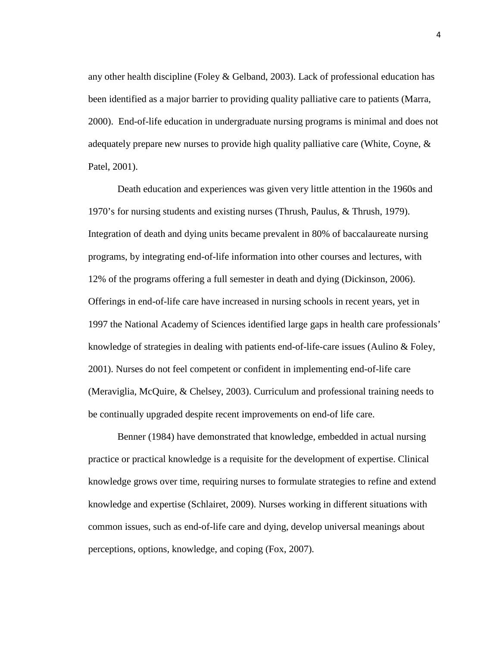any other health discipline (Foley & Gelband, 2003). Lack of professional education has been identified as a major barrier to providing quality palliative care to patients (Marra, 2000). End-of-life education in undergraduate nursing programs is minimal and does not adequately prepare new nurses to provide high quality palliative care (White, Coyne, & Patel, 2001).

Death education and experiences was given very little attention in the 1960s and 1970's for nursing students and existing nurses (Thrush, Paulus, & Thrush, 1979). Integration of death and dying units became prevalent in 80% of baccalaureate nursing programs, by integrating end-of-life information into other courses and lectures, with 12% of the programs offering a full semester in death and dying (Dickinson, 2006). Offerings in end-of-life care have increased in nursing schools in recent years, yet in 1997 the National Academy of Sciences identified large gaps in health care professionals' knowledge of strategies in dealing with patients end-of-life-care issues (Aulino & Foley, 2001). Nurses do not feel competent or confident in implementing end-of-life care (Meraviglia, McQuire, & Chelsey, 2003). Curriculum and professional training needs to be continually upgraded despite recent improvements on end-of life care.

Benner (1984) have demonstrated that knowledge, embedded in actual nursing practice or practical knowledge is a requisite for the development of expertise. Clinical knowledge grows over time, requiring nurses to formulate strategies to refine and extend knowledge and expertise (Schlairet, 2009). Nurses working in different situations with common issues, such as end-of-life care and dying, develop universal meanings about perceptions, options, knowledge, and coping (Fox, 2007).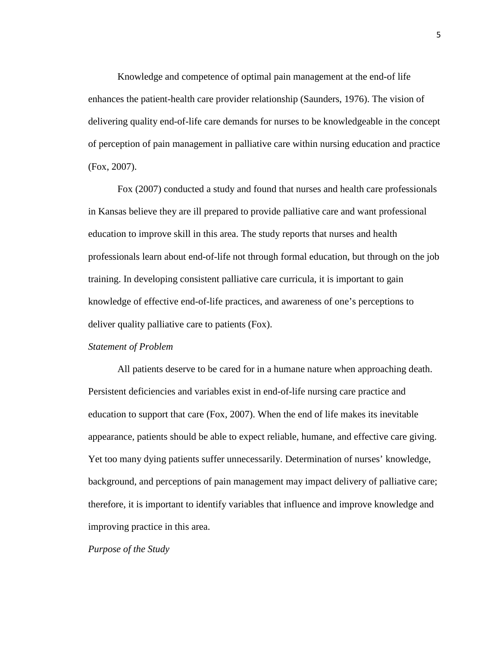Knowledge and competence of optimal pain management at the end-of life enhances the patient-health care provider relationship (Saunders, 1976). The vision of delivering quality end-of-life care demands for nurses to be knowledgeable in the concept of perception of pain management in palliative care within nursing education and practice (Fox, 2007).

Fox (2007) conducted a study and found that nurses and health care professionals in Kansas believe they are ill prepared to provide palliative care and want professional education to improve skill in this area. The study reports that nurses and health professionals learn about end-of-life not through formal education, but through on the job training. In developing consistent palliative care curricula, it is important to gain knowledge of effective end-of-life practices, and awareness of one's perceptions to deliver quality palliative care to patients (Fox).

#### *Statement of Problem*

All patients deserve to be cared for in a humane nature when approaching death. Persistent deficiencies and variables exist in end-of-life nursing care practice and education to support that care (Fox, 2007). When the end of life makes its inevitable appearance, patients should be able to expect reliable, humane, and effective care giving. Yet too many dying patients suffer unnecessarily. Determination of nurses' knowledge, background, and perceptions of pain management may impact delivery of palliative care; therefore, it is important to identify variables that influence and improve knowledge and improving practice in this area.

#### *Purpose of the Study*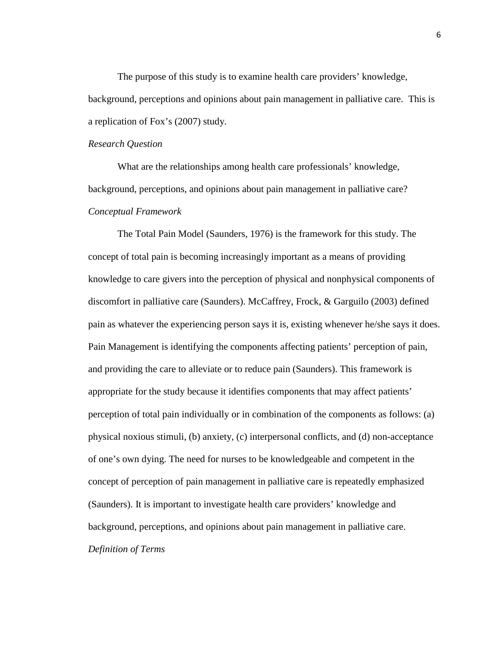The purpose of this study is to examine health care providers' knowledge, background, perceptions and opinions about pain management in palliative care. This is a replication of Fox's (2007) study.

#### *Research Question*

What are the relationships among health care professionals' knowledge, background, perceptions, and opinions about pain management in palliative care? *Conceptual Framework*

The Total Pain Model (Saunders, 1976) is the framework for this study. The concept of total pain is becoming increasingly important as a means of providing knowledge to care givers into the perception of physical and nonphysical components of discomfort in palliative care (Saunders). McCaffrey, Frock, & Garguilo (2003) defined pain as whatever the experiencing person says it is, existing whenever he/she says it does. Pain Management is identifying the components affecting patients' perception of pain, and providing the care to alleviate or to reduce pain (Saunders). This framework is appropriate for the study because it identifies components that may affect patients' perception of total pain individually or in combination of the components as follows: (a) physical noxious stimuli, (b) anxiety, (c) interpersonal conflicts, and (d) non-acceptance of one's own dying. The need for nurses to be knowledgeable and competent in the concept of perception of pain management in palliative care is repeatedly emphasized (Saunders). It is important to investigate health care providers' knowledge and background, perceptions, and opinions about pain management in palliative care. *Definition of Terms*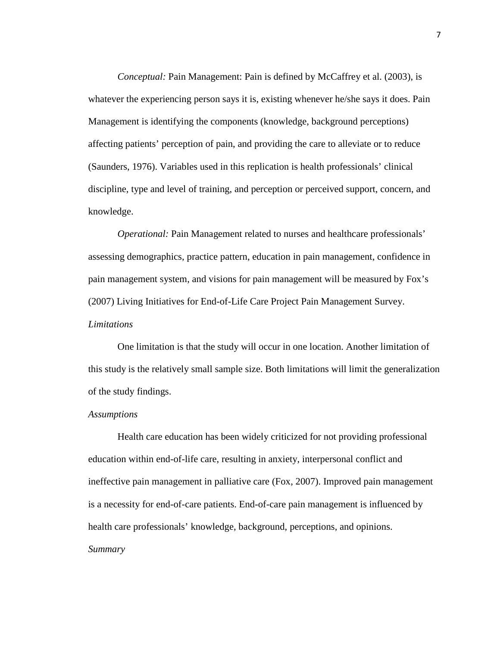*Conceptual:* Pain Management: Pain is defined by McCaffrey et al. (2003), is whatever the experiencing person says it is, existing whenever he/she says it does. Pain Management is identifying the components (knowledge, background perceptions) affecting patients' perception of pain, and providing the care to alleviate or to reduce (Saunders, 1976). Variables used in this replication is health professionals' clinical discipline, type and level of training, and perception or perceived support, concern, and knowledge.

*Operational:* Pain Management related to nurses and healthcare professionals' assessing demographics, practice pattern, education in pain management, confidence in pain management system, and visions for pain management will be measured by Fox's (2007) Living Initiatives for End-of-Life Care Project Pain Management Survey. *Limitations*

One limitation is that the study will occur in one location. Another limitation of this study is the relatively small sample size. Both limitations will limit the generalization of the study findings.

#### *Assumptions*

Health care education has been widely criticized for not providing professional education within end-of-life care, resulting in anxiety, interpersonal conflict and ineffective pain management in palliative care (Fox, 2007). Improved pain management is a necessity for end-of-care patients. End-of-care pain management is influenced by health care professionals' knowledge, background, perceptions, and opinions. *Summary*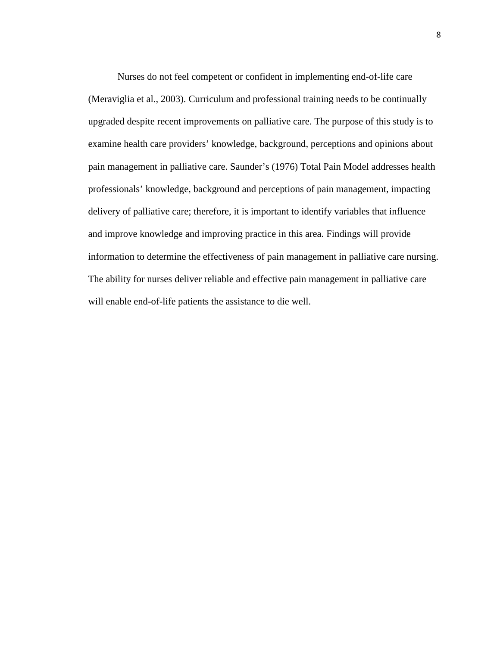Nurses do not feel competent or confident in implementing end-of-life care (Meraviglia et al., 2003). Curriculum and professional training needs to be continually upgraded despite recent improvements on palliative care. The purpose of this study is to examine health care providers' knowledge, background, perceptions and opinions about pain management in palliative care. Saunder's (1976) Total Pain Model addresses health professionals' knowledge, background and perceptions of pain management, impacting delivery of palliative care; therefore, it is important to identify variables that influence and improve knowledge and improving practice in this area. Findings will provide information to determine the effectiveness of pain management in palliative care nursing. The ability for nurses deliver reliable and effective pain management in palliative care will enable end-of-life patients the assistance to die well.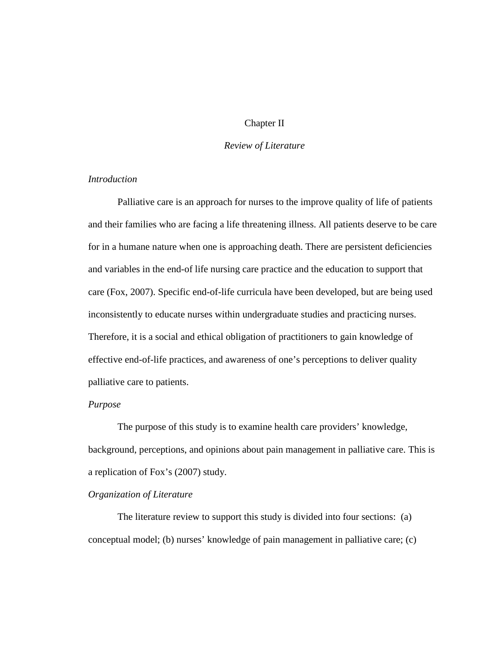## Chapter II

## *Review of Literature*

## *Introduction*

Palliative care is an approach for nurses to the improve quality of life of patients and their families who are facing a life threatening illness. All patients deserve to be care for in a humane nature when one is approaching death. There are persistent deficiencies and variables in the end-of life nursing care practice and the education to support that care (Fox, 2007). Specific end-of-life curricula have been developed, but are being used inconsistently to educate nurses within undergraduate studies and practicing nurses. Therefore, it is a social and ethical obligation of practitioners to gain knowledge of effective end-of-life practices, and awareness of one's perceptions to deliver quality palliative care to patients.

## *Purpose*

The purpose of this study is to examine health care providers' knowledge, background, perceptions, and opinions about pain management in palliative care. This is a replication of Fox's (2007) study.

## *Organization of Literature*

The literature review to support this study is divided into four sections: (a) conceptual model; (b) nurses' knowledge of pain management in palliative care; (c)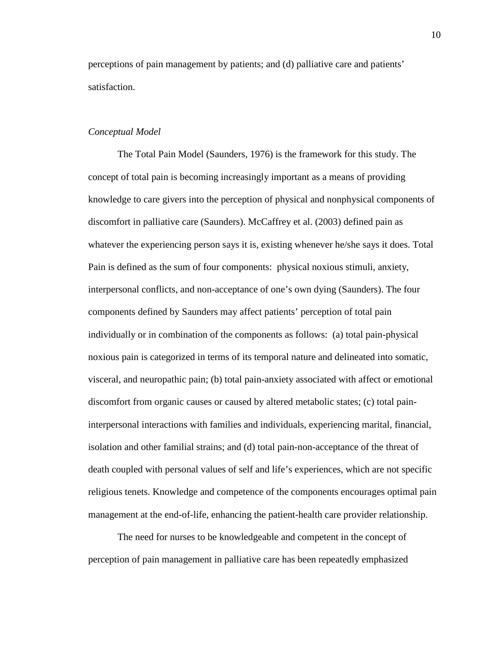perceptions of pain management by patients; and (d) palliative care and patients' satisfaction.

## *Conceptual Model*

The Total Pain Model (Saunders, 1976) is the framework for this study. The concept of total pain is becoming increasingly important as a means of providing knowledge to care givers into the perception of physical and nonphysical components of discomfort in palliative care (Saunders). McCaffrey et al. (2003) defined pain as whatever the experiencing person says it is, existing whenever he/she says it does. Total Pain is defined as the sum of four components: physical noxious stimuli, anxiety, interpersonal conflicts, and non-acceptance of one's own dying (Saunders). The four components defined by Saunders may affect patients' perception of total pain individually or in combination of the components as follows: (a) total pain-physical noxious pain is categorized in terms of its temporal nature and delineated into somatic, visceral, and neuropathic pain; (b) total pain-anxiety associated with affect or emotional discomfort from organic causes or caused by altered metabolic states; (c) total paininterpersonal interactions with families and individuals, experiencing marital, financial, isolation and other familial strains; and (d) total pain-non-acceptance of the threat of death coupled with personal values of self and life's experiences, which are not specific religious tenets. Knowledge and competence of the components encourages optimal pain management at the end-of-life, enhancing the patient-health care provider relationship.

The need for nurses to be knowledgeable and competent in the concept of perception of pain management in palliative care has been repeatedly emphasized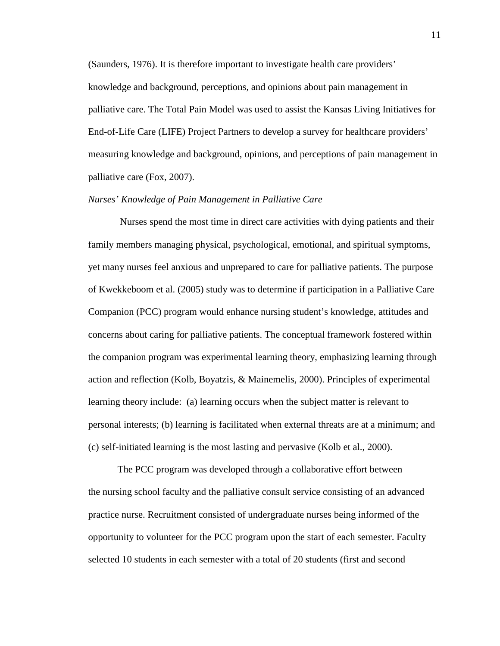(Saunders, 1976). It is therefore important to investigate health care providers' knowledge and background, perceptions, and opinions about pain management in palliative care. The Total Pain Model was used to assist the Kansas Living Initiatives for End-of-Life Care (LIFE) Project Partners to develop a survey for healthcare providers' measuring knowledge and background, opinions, and perceptions of pain management in palliative care (Fox, 2007).

### *Nurses' Knowledge of Pain Management in Palliative Care*

Nurses spend the most time in direct care activities with dying patients and their family members managing physical, psychological, emotional, and spiritual symptoms, yet many nurses feel anxious and unprepared to care for palliative patients. The purpose of Kwekkeboom et al. (2005) study was to determine if participation in a Palliative Care Companion (PCC) program would enhance nursing student's knowledge, attitudes and concerns about caring for palliative patients. The conceptual framework fostered within the companion program was experimental learning theory, emphasizing learning through action and reflection (Kolb, Boyatzis, & Mainemelis, 2000). Principles of experimental learning theory include: (a) learning occurs when the subject matter is relevant to personal interests; (b) learning is facilitated when external threats are at a minimum; and (c) self-initiated learning is the most lasting and pervasive (Kolb et al., 2000).

The PCC program was developed through a collaborative effort between the nursing school faculty and the palliative consult service consisting of an advanced practice nurse. Recruitment consisted of undergraduate nurses being informed of the opportunity to volunteer for the PCC program upon the start of each semester. Faculty selected 10 students in each semester with a total of 20 students (first and second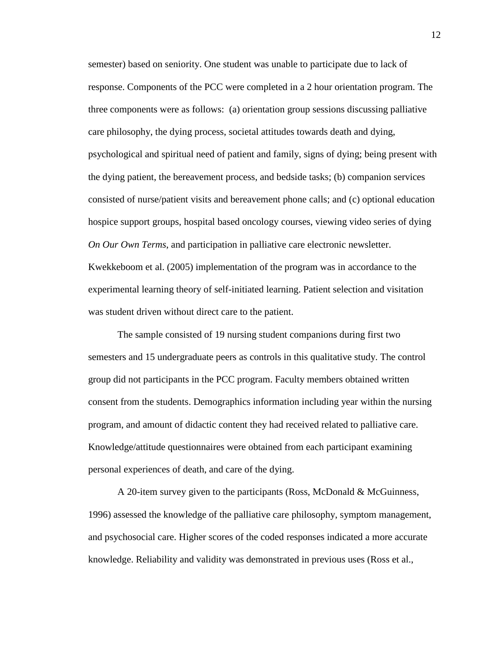semester) based on seniority. One student was unable to participate due to lack of response. Components of the PCC were completed in a 2 hour orientation program. The three components were as follows: (a) orientation group sessions discussing palliative care philosophy, the dying process, societal attitudes towards death and dying, psychological and spiritual need of patient and family, signs of dying; being present with the dying patient, the bereavement process, and bedside tasks; (b) companion services consisted of nurse/patient visits and bereavement phone calls; and (c) optional education hospice support groups, hospital based oncology courses, viewing video series of dying *On Our Own Terms*, and participation in palliative care electronic newsletter. Kwekkeboom et al. (2005) implementation of the program was in accordance to the experimental learning theory of self-initiated learning. Patient selection and visitation was student driven without direct care to the patient.

The sample consisted of 19 nursing student companions during first two semesters and 15 undergraduate peers as controls in this qualitative study. The control group did not participants in the PCC program. Faculty members obtained written consent from the students. Demographics information including year within the nursing program, and amount of didactic content they had received related to palliative care. Knowledge/attitude questionnaires were obtained from each participant examining personal experiences of death, and care of the dying.

A 20-item survey given to the participants (Ross, McDonald & McGuinness, 1996) assessed the knowledge of the palliative care philosophy, symptom management, and psychosocial care. Higher scores of the coded responses indicated a more accurate knowledge. Reliability and validity was demonstrated in previous uses (Ross et al.,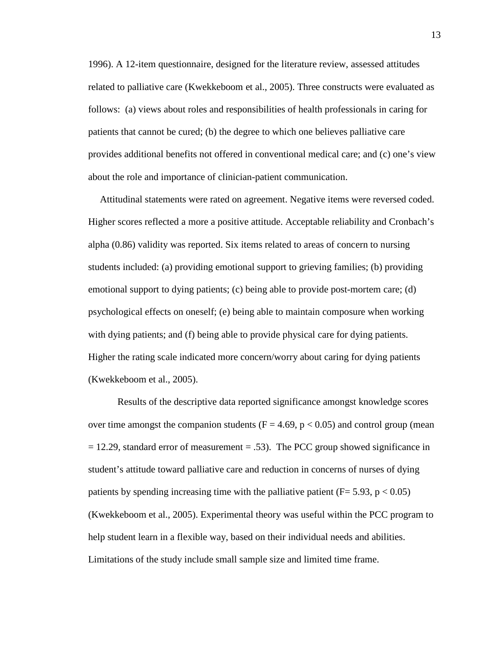1996). A 12-item questionnaire, designed for the literature review, assessed attitudes related to palliative care (Kwekkeboom et al., 2005). Three constructs were evaluated as follows: (a) views about roles and responsibilities of health professionals in caring for patients that cannot be cured; (b) the degree to which one believes palliative care provides additional benefits not offered in conventional medical care; and (c) one's view about the role and importance of clinician-patient communication.

Attitudinal statements were rated on agreement. Negative items were reversed coded. Higher scores reflected a more a positive attitude. Acceptable reliability and Cronbach's alpha (0.86) validity was reported. Six items related to areas of concern to nursing students included: (a) providing emotional support to grieving families; (b) providing emotional support to dying patients; (c) being able to provide post-mortem care; (d) psychological effects on oneself; (e) being able to maintain composure when working with dying patients; and (f) being able to provide physical care for dying patients. Higher the rating scale indicated more concern/worry about caring for dying patients (Kwekkeboom et al., 2005).

Results of the descriptive data reported significance amongst knowledge scores over time amongst the companion students  $(F = 4.69, p < 0.05)$  and control group (mean  $= 12.29$ , standard error of measurement  $= .53$ ). The PCC group showed significance in student's attitude toward palliative care and reduction in concerns of nurses of dying patients by spending increasing time with the palliative patient ( $F= 5.93$ , p  $< 0.05$ ) (Kwekkeboom et al., 2005). Experimental theory was useful within the PCC program to help student learn in a flexible way, based on their individual needs and abilities. Limitations of the study include small sample size and limited time frame.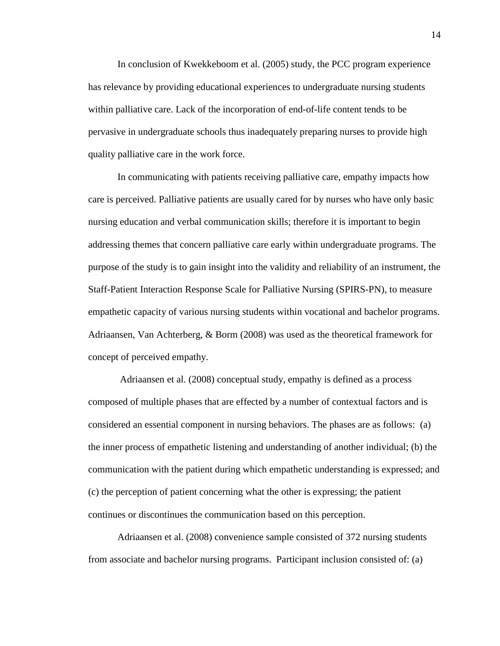In conclusion of Kwekkeboom et al. (2005) study, the PCC program experience has relevance by providing educational experiences to undergraduate nursing students within palliative care. Lack of the incorporation of end-of-life content tends to be pervasive in undergraduate schools thus inadequately preparing nurses to provide high quality palliative care in the work force.

In communicating with patients receiving palliative care, empathy impacts how care is perceived. Palliative patients are usually cared for by nurses who have only basic nursing education and verbal communication skills; therefore it is important to begin addressing themes that concern palliative care early within undergraduate programs. The purpose of the study is to gain insight into the validity and reliability of an instrument, the Staff-Patient Interaction Response Scale for Palliative Nursing (SPIRS-PN), to measure empathetic capacity of various nursing students within vocational and bachelor programs. Adriaansen, Van Achterberg, & Borm (2008) was used as the theoretical framework for concept of perceived empathy.

Adriaansen et al. (2008) conceptual study, empathy is defined as a process composed of multiple phases that are effected by a number of contextual factors and is considered an essential component in nursing behaviors. The phases are as follows: (a) the inner process of empathetic listening and understanding of another individual; (b) the communication with the patient during which empathetic understanding is expressed; and (c) the perception of patient concerning what the other is expressing; the patient continues or discontinues the communication based on this perception.

Adriaansen et al. (2008) convenience sample consisted of 372 nursing students from associate and bachelor nursing programs. Participant inclusion consisted of: (a)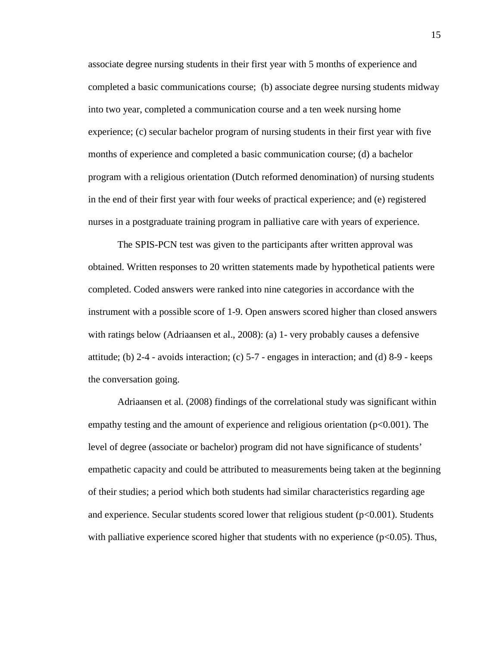associate degree nursing students in their first year with 5 months of experience and completed a basic communications course; (b) associate degree nursing students midway into two year, completed a communication course and a ten week nursing home experience; (c) secular bachelor program of nursing students in their first year with five months of experience and completed a basic communication course; (d) a bachelor program with a religious orientation (Dutch reformed denomination) of nursing students in the end of their first year with four weeks of practical experience; and (e) registered nurses in a postgraduate training program in palliative care with years of experience.

The SPIS-PCN test was given to the participants after written approval was obtained. Written responses to 20 written statements made by hypothetical patients were completed. Coded answers were ranked into nine categories in accordance with the instrument with a possible score of 1-9. Open answers scored higher than closed answers with ratings below (Adriaansen et al., 2008): (a) 1- very probably causes a defensive attitude; (b)  $2-4$  - avoids interaction; (c)  $5-7$  - engages in interaction; and (d)  $8-9$  - keeps the conversation going.

Adriaansen et al. (2008) findings of the correlational study was significant within empathy testing and the amount of experience and religious orientation  $(p<0.001)$ . The level of degree (associate or bachelor) program did not have significance of students' empathetic capacity and could be attributed to measurements being taken at the beginning of their studies; a period which both students had similar characteristics regarding age and experience. Secular students scored lower that religious student  $(p<0.001)$ . Students with palliative experience scored higher that students with no experience ( $p<0.05$ ). Thus,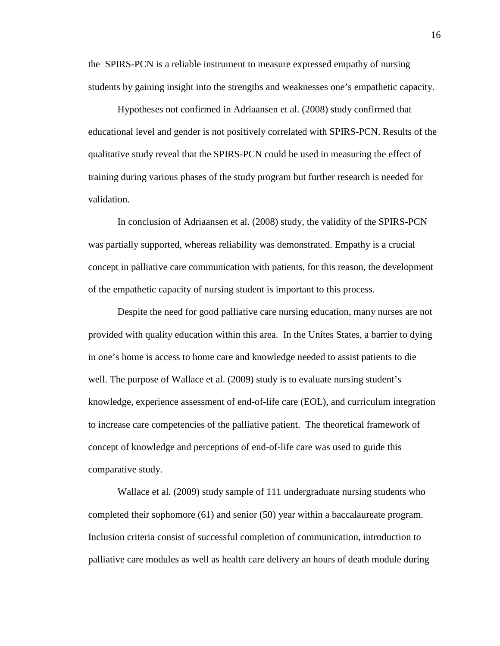the SPIRS-PCN is a reliable instrument to measure expressed empathy of nursing students by gaining insight into the strengths and weaknesses one's empathetic capacity.

Hypotheses not confirmed in Adriaansen et al. (2008) study confirmed that educational level and gender is not positively correlated with SPIRS-PCN. Results of the qualitative study reveal that the SPIRS-PCN could be used in measuring the effect of training during various phases of the study program but further research is needed for validation.

In conclusion of Adriaansen et al. (2008) study, the validity of the SPIRS-PCN was partially supported, whereas reliability was demonstrated. Empathy is a crucial concept in palliative care communication with patients, for this reason, the development of the empathetic capacity of nursing student is important to this process.

Despite the need for good palliative care nursing education, many nurses are not provided with quality education within this area. In the Unites States, a barrier to dying in one's home is access to home care and knowledge needed to assist patients to die well. The purpose of Wallace et al. (2009) study is to evaluate nursing student's knowledge, experience assessment of end-of-life care (EOL), and curriculum integration to increase care competencies of the palliative patient. The theoretical framework of concept of knowledge and perceptions of end-of-life care was used to guide this comparative study.

 Wallace et al. (2009) study sample of 111 undergraduate nursing students who completed their sophomore (61) and senior (50) year within a baccalaureate program. Inclusion criteria consist of successful completion of communication, introduction to palliative care modules as well as health care delivery an hours of death module during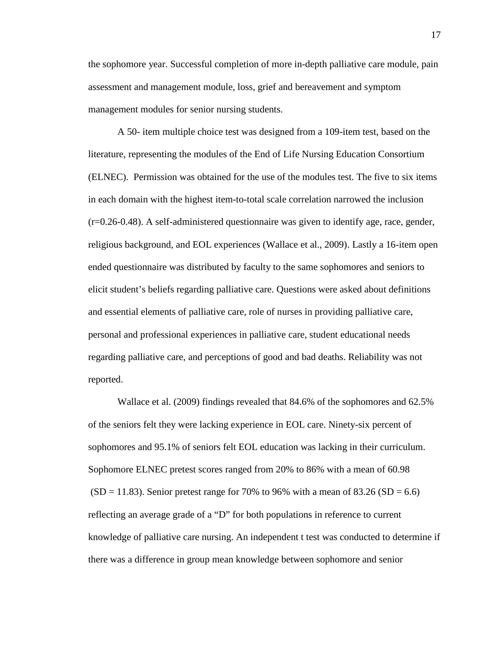the sophomore year. Successful completion of more in-depth palliative care module, pain assessment and management module, loss, grief and bereavement and symptom management modules for senior nursing students.

 A 50- item multiple choice test was designed from a 109-item test, based on the literature, representing the modules of the End of Life Nursing Education Consortium (ELNEC). Permission was obtained for the use of the modules test. The five to six items in each domain with the highest item-to-total scale correlation narrowed the inclusion (r=0.26-0.48). A self-administered questionnaire was given to identify age, race, gender, religious background, and EOL experiences (Wallace et al., 2009). Lastly a 16-item open ended questionnaire was distributed by faculty to the same sophomores and seniors to elicit student's beliefs regarding palliative care. Questions were asked about definitions and essential elements of palliative care, role of nurses in providing palliative care, personal and professional experiences in palliative care, student educational needs regarding palliative care, and perceptions of good and bad deaths. Reliability was not reported.

 Wallace et al. (2009) findings revealed that 84.6% of the sophomores and 62.5% of the seniors felt they were lacking experience in EOL care. Ninety-six percent of sophomores and 95.1% of seniors felt EOL education was lacking in their curriculum. Sophomore ELNEC pretest scores ranged from 20% to 86% with a mean of 60.98  $(SD = 11.83)$ . Senior pretest range for 70% to 96% with a mean of 83.26  $(SD = 6.6)$ reflecting an average grade of a "D" for both populations in reference to current knowledge of palliative care nursing. An independent t test was conducted to determine if there was a difference in group mean knowledge between sophomore and senior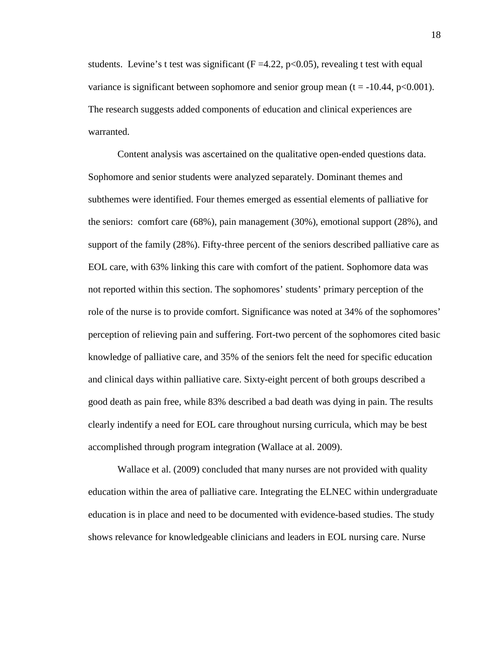students. Levine's t test was significant ( $F = 4.22$ , p $\lt 0.05$ ), revealing t test with equal variance is significant between sophomore and senior group mean  $(t = -10.44, p < 0.001)$ . The research suggests added components of education and clinical experiences are warranted.

 Content analysis was ascertained on the qualitative open-ended questions data. Sophomore and senior students were analyzed separately. Dominant themes and subthemes were identified. Four themes emerged as essential elements of palliative for the seniors: comfort care (68%), pain management (30%), emotional support (28%), and support of the family (28%). Fifty-three percent of the seniors described palliative care as EOL care, with 63% linking this care with comfort of the patient. Sophomore data was not reported within this section. The sophomores' students' primary perception of the role of the nurse is to provide comfort. Significance was noted at 34% of the sophomores' perception of relieving pain and suffering. Fort-two percent of the sophomores cited basic knowledge of palliative care, and 35% of the seniors felt the need for specific education and clinical days within palliative care. Sixty-eight percent of both groups described a good death as pain free, while 83% described a bad death was dying in pain. The results clearly indentify a need for EOL care throughout nursing curricula, which may be best accomplished through program integration (Wallace at al. 2009).

Wallace et al. (2009) concluded that many nurses are not provided with quality education within the area of palliative care. Integrating the ELNEC within undergraduate education is in place and need to be documented with evidence-based studies. The study shows relevance for knowledgeable clinicians and leaders in EOL nursing care. Nurse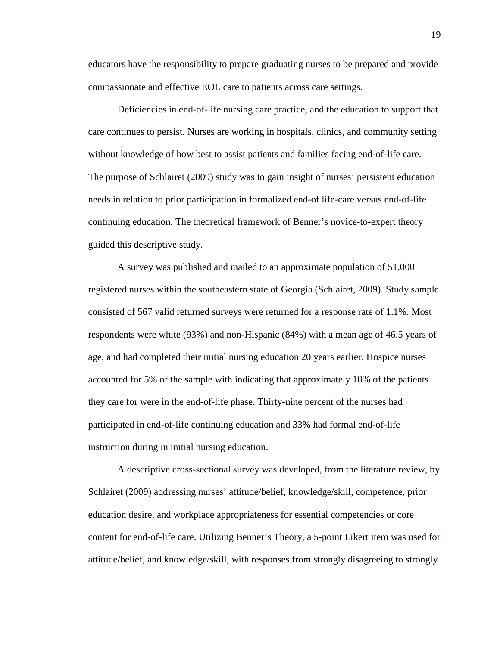educators have the responsibility to prepare graduating nurses to be prepared and provide compassionate and effective EOL care to patients across care settings.

 Deficiencies in end-of-life nursing care practice, and the education to support that care continues to persist. Nurses are working in hospitals, clinics, and community setting without knowledge of how best to assist patients and families facing end-of-life care. The purpose of Schlairet (2009) study was to gain insight of nurses' persistent education needs in relation to prior participation in formalized end-of life-care versus end-of-life continuing education. The theoretical framework of Benner's novice-to-expert theory guided this descriptive study.

 A survey was published and mailed to an approximate population of 51,000 registered nurses within the southeastern state of Georgia (Schlairet, 2009). Study sample consisted of 567 valid returned surveys were returned for a response rate of 1.1%. Most respondents were white (93%) and non-Hispanic (84%) with a mean age of 46.5 years of age, and had completed their initial nursing education 20 years earlier. Hospice nurses accounted for 5% of the sample with indicating that approximately 18% of the patients they care for were in the end-of-life phase. Thirty-nine percent of the nurses had participated in end-of-life continuing education and 33% had formal end-of-life instruction during in initial nursing education.

 A descriptive cross-sectional survey was developed, from the literature review, by Schlairet (2009) addressing nurses' attitude/belief, knowledge/skill, competence, prior education desire, and workplace appropriateness for essential competencies or core content for end-of-life care. Utilizing Benner's Theory, a 5-point Likert item was used for attitude/belief, and knowledge/skill, with responses from strongly disagreeing to strongly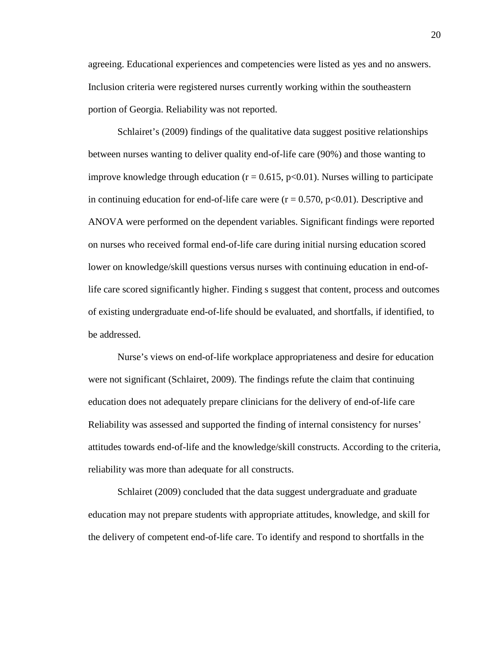agreeing. Educational experiences and competencies were listed as yes and no answers. Inclusion criteria were registered nurses currently working within the southeastern portion of Georgia. Reliability was not reported.

 Schlairet's (2009) findings of the qualitative data suggest positive relationships between nurses wanting to deliver quality end-of-life care (90%) and those wanting to improve knowledge through education  $(r = 0.615, p < 0.01)$ . Nurses willing to participate in continuing education for end-of-life care were  $(r = 0.570, p<0.01)$ . Descriptive and ANOVA were performed on the dependent variables. Significant findings were reported on nurses who received formal end-of-life care during initial nursing education scored lower on knowledge/skill questions versus nurses with continuing education in end-oflife care scored significantly higher. Finding s suggest that content, process and outcomes of existing undergraduate end-of-life should be evaluated, and shortfalls, if identified, to be addressed.

 Nurse's views on end-of-life workplace appropriateness and desire for education were not significant (Schlairet, 2009). The findings refute the claim that continuing education does not adequately prepare clinicians for the delivery of end-of-life care Reliability was assessed and supported the finding of internal consistency for nurses' attitudes towards end-of-life and the knowledge/skill constructs. According to the criteria, reliability was more than adequate for all constructs.

 Schlairet (2009) concluded that the data suggest undergraduate and graduate education may not prepare students with appropriate attitudes, knowledge, and skill for the delivery of competent end-of-life care. To identify and respond to shortfalls in the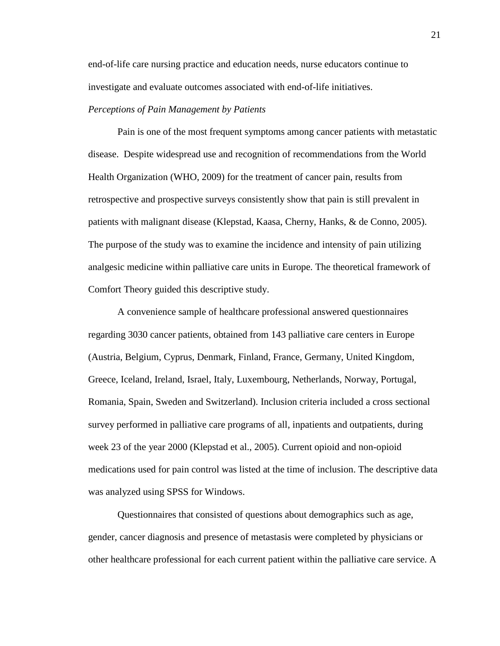end-of-life care nursing practice and education needs, nurse educators continue to investigate and evaluate outcomes associated with end-of-life initiatives.

## *Perceptions of Pain Management by Patients*

Pain is one of the most frequent symptoms among cancer patients with metastatic disease. Despite widespread use and recognition of recommendations from the World Health Organization (WHO, 2009) for the treatment of cancer pain, results from retrospective and prospective surveys consistently show that pain is still prevalent in patients with malignant disease (Klepstad, Kaasa, Cherny, Hanks, & de Conno, 2005). The purpose of the study was to examine the incidence and intensity of pain utilizing analgesic medicine within palliative care units in Europe. The theoretical framework of Comfort Theory guided this descriptive study.

A convenience sample of healthcare professional answered questionnaires regarding 3030 cancer patients, obtained from 143 palliative care centers in Europe (Austria, Belgium, Cyprus, Denmark, Finland, France, Germany, United Kingdom, Greece, Iceland, Ireland, Israel, Italy, Luxembourg, Netherlands, Norway, Portugal, Romania, Spain, Sweden and Switzerland). Inclusion criteria included a cross sectional survey performed in palliative care programs of all, inpatients and outpatients, during week 23 of the year 2000 (Klepstad et al., 2005). Current opioid and non-opioid medications used for pain control was listed at the time of inclusion. The descriptive data was analyzed using SPSS for Windows.

Questionnaires that consisted of questions about demographics such as age, gender, cancer diagnosis and presence of metastasis were completed by physicians or other healthcare professional for each current patient within the palliative care service. A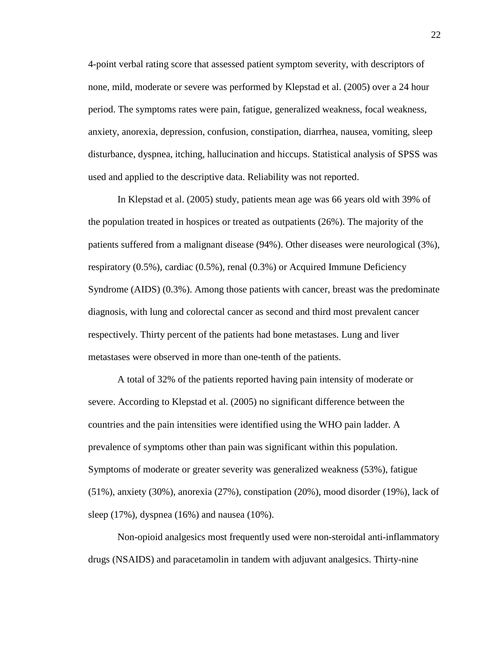4-point verbal rating score that assessed patient symptom severity, with descriptors of none, mild, moderate or severe was performed by Klepstad et al. (2005) over a 24 hour period. The symptoms rates were pain, fatigue, generalized weakness, focal weakness, anxiety, anorexia, depression, confusion, constipation, diarrhea, nausea, vomiting, sleep disturbance, dyspnea, itching, hallucination and hiccups. Statistical analysis of SPSS was used and applied to the descriptive data. Reliability was not reported.

In Klepstad et al. (2005) study, patients mean age was 66 years old with 39% of the population treated in hospices or treated as outpatients (26%). The majority of the patients suffered from a malignant disease (94%). Other diseases were neurological (3%), respiratory (0.5%), cardiac (0.5%), renal (0.3%) or Acquired Immune Deficiency Syndrome (AIDS) (0.3%). Among those patients with cancer, breast was the predominate diagnosis, with lung and colorectal cancer as second and third most prevalent cancer respectively. Thirty percent of the patients had bone metastases. Lung and liver metastases were observed in more than one-tenth of the patients.

A total of 32% of the patients reported having pain intensity of moderate or severe. According to Klepstad et al. (2005) no significant difference between the countries and the pain intensities were identified using the WHO pain ladder. A prevalence of symptoms other than pain was significant within this population. Symptoms of moderate or greater severity was generalized weakness (53%), fatigue (51%), anxiety (30%), anorexia (27%), constipation (20%), mood disorder (19%), lack of sleep (17%), dyspnea (16%) and nausea (10%).

Non-opioid analgesics most frequently used were non-steroidal anti-inflammatory drugs (NSAIDS) and paracetamolin in tandem with adjuvant analgesics. Thirty-nine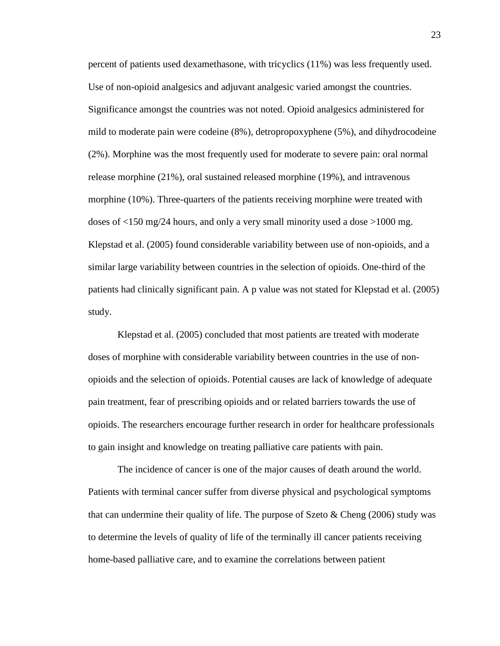percent of patients used dexamethasone, with tricyclics (11%) was less frequently used. Use of non-opioid analgesics and adjuvant analgesic varied amongst the countries. Significance amongst the countries was not noted. Opioid analgesics administered for mild to moderate pain were codeine (8%), detropropoxyphene (5%), and dihydrocodeine (2%). Morphine was the most frequently used for moderate to severe pain: oral normal release morphine (21%), oral sustained released morphine (19%), and intravenous morphine (10%). Three-quarters of the patients receiving morphine were treated with doses of <150 mg/24 hours, and only a very small minority used a dose >1000 mg. Klepstad et al. (2005) found considerable variability between use of non-opioids, and a similar large variability between countries in the selection of opioids. One-third of the patients had clinically significant pain. A p value was not stated for Klepstad et al. (2005) study.

Klepstad et al. (2005) concluded that most patients are treated with moderate doses of morphine with considerable variability between countries in the use of nonopioids and the selection of opioids. Potential causes are lack of knowledge of adequate pain treatment, fear of prescribing opioids and or related barriers towards the use of opioids. The researchers encourage further research in order for healthcare professionals to gain insight and knowledge on treating palliative care patients with pain.

The incidence of cancer is one of the major causes of death around the world. Patients with terminal cancer suffer from diverse physical and psychological symptoms that can undermine their quality of life. The purpose of Szeto  $\&$  Cheng (2006) study was to determine the levels of quality of life of the terminally ill cancer patients receiving home-based palliative care, and to examine the correlations between patient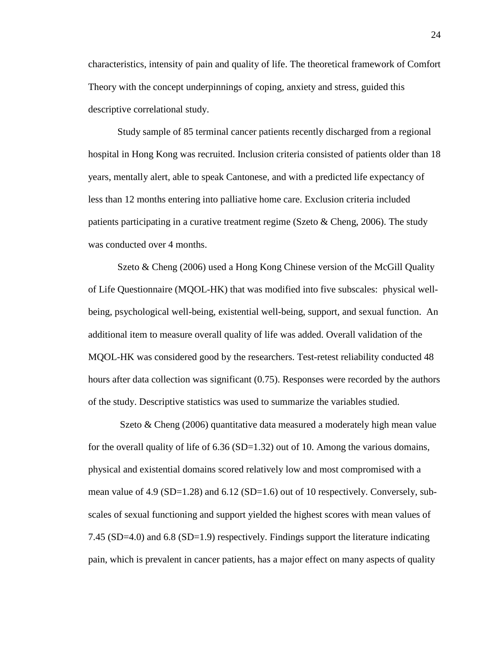characteristics, intensity of pain and quality of life. The theoretical framework of Comfort Theory with the concept underpinnings of coping, anxiety and stress, guided this descriptive correlational study.

Study sample of 85 terminal cancer patients recently discharged from a regional hospital in Hong Kong was recruited. Inclusion criteria consisted of patients older than 18 years, mentally alert, able to speak Cantonese, and with a predicted life expectancy of less than 12 months entering into palliative home care. Exclusion criteria included patients participating in a curative treatment regime (Szeto  $\&$  Cheng, 2006). The study was conducted over 4 months.

Szeto & Cheng (2006) used a Hong Kong Chinese version of the McGill Quality of Life Questionnaire (MQOL-HK) that was modified into five subscales: physical wellbeing, psychological well-being, existential well-being, support, and sexual function. An additional item to measure overall quality of life was added. Overall validation of the MQOL-HK was considered good by the researchers. Test-retest reliability conducted 48 hours after data collection was significant (0.75). Responses were recorded by the authors of the study. Descriptive statistics was used to summarize the variables studied.

Szeto & Cheng (2006) quantitative data measured a moderately high mean value for the overall quality of life of  $6.36$  (SD=1.32) out of 10. Among the various domains, physical and existential domains scored relatively low and most compromised with a mean value of 4.9 (SD=1.28) and  $6.12$  (SD=1.6) out of 10 respectively. Conversely, subscales of sexual functioning and support yielded the highest scores with mean values of 7.45 (SD=4.0) and 6.8 (SD=1.9) respectively. Findings support the literature indicating pain, which is prevalent in cancer patients, has a major effect on many aspects of quality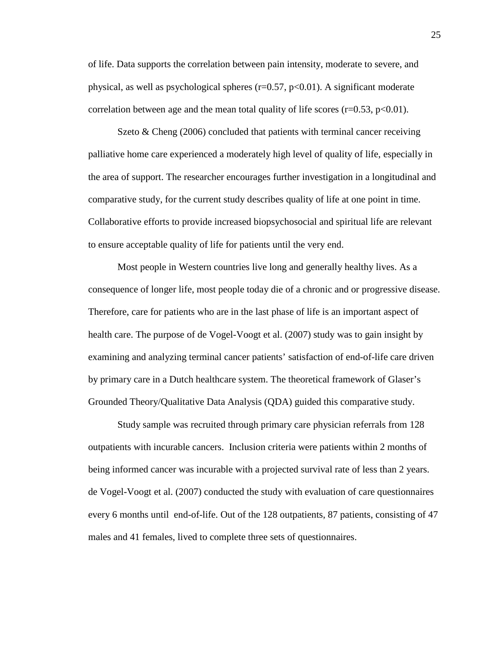of life. Data supports the correlation between pain intensity, moderate to severe, and physical, as well as psychological spheres ( $r=0.57$ ,  $p<0.01$ ). A significant moderate correlation between age and the mean total quality of life scores ( $r=0.53$ ,  $p<0.01$ ).

Szeto & Cheng (2006) concluded that patients with terminal cancer receiving palliative home care experienced a moderately high level of quality of life, especially in the area of support. The researcher encourages further investigation in a longitudinal and comparative study, for the current study describes quality of life at one point in time. Collaborative efforts to provide increased biopsychosocial and spiritual life are relevant to ensure acceptable quality of life for patients until the very end.

Most people in Western countries live long and generally healthy lives. As a consequence of longer life, most people today die of a chronic and or progressive disease. Therefore, care for patients who are in the last phase of life is an important aspect of health care. The purpose of de Vogel-Voogt et al. (2007) study was to gain insight by examining and analyzing terminal cancer patients' satisfaction of end-of-life care driven by primary care in a Dutch healthcare system. The theoretical framework of Glaser's Grounded Theory/Qualitative Data Analysis (QDA) guided this comparative study.

Study sample was recruited through primary care physician referrals from 128 outpatients with incurable cancers. Inclusion criteria were patients within 2 months of being informed cancer was incurable with a projected survival rate of less than 2 years. de Vogel-Voogt et al. (2007) conducted the study with evaluation of care questionnaires every 6 months until end-of-life. Out of the 128 outpatients, 87 patients, consisting of 47 males and 41 females, lived to complete three sets of questionnaires.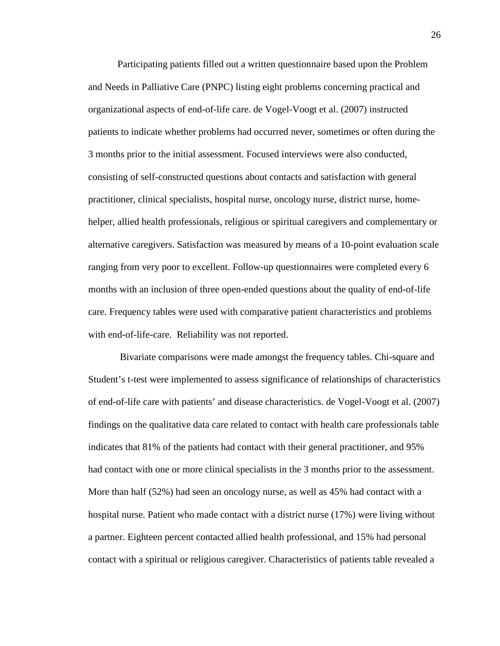Participating patients filled out a written questionnaire based upon the Problem and Needs in Palliative Care (PNPC) listing eight problems concerning practical and organizational aspects of end-of-life care. de Vogel-Voogt et al. (2007) instructed patients to indicate whether problems had occurred never, sometimes or often during the 3 months prior to the initial assessment. Focused interviews were also conducted, consisting of self-constructed questions about contacts and satisfaction with general practitioner, clinical specialists, hospital nurse, oncology nurse, district nurse, homehelper, allied health professionals, religious or spiritual caregivers and complementary or alternative caregivers. Satisfaction was measured by means of a 10-point evaluation scale ranging from very poor to excellent. Follow-up questionnaires were completed every 6 months with an inclusion of three open-ended questions about the quality of end-of-life care. Frequency tables were used with comparative patient characteristics and problems with end-of-life-care. Reliability was not reported.

Bivariate comparisons were made amongst the frequency tables. Chi-square and Student's t-test were implemented to assess significance of relationships of characteristics of end-of-life care with patients' and disease characteristics. de Vogel-Voogt et al. (2007) findings on the qualitative data care related to contact with health care professionals table indicates that 81% of the patients had contact with their general practitioner, and 95% had contact with one or more clinical specialists in the 3 months prior to the assessment. More than half (52%) had seen an oncology nurse, as well as 45% had contact with a hospital nurse. Patient who made contact with a district nurse (17%) were living without a partner. Eighteen percent contacted allied health professional, and 15% had personal contact with a spiritual or religious caregiver. Characteristics of patients table revealed a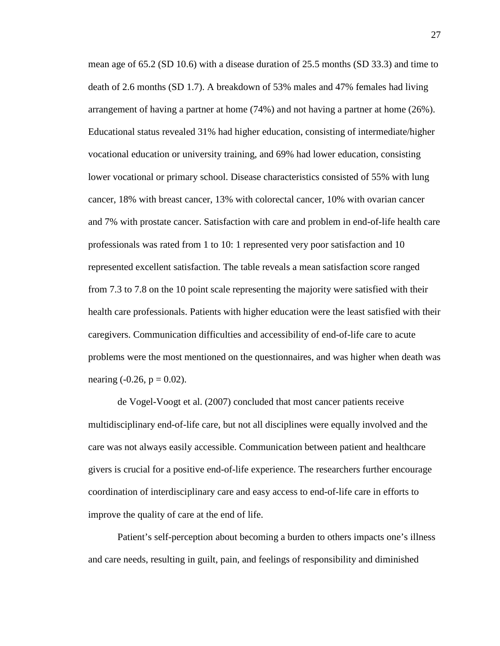mean age of 65.2 (SD 10.6) with a disease duration of 25.5 months (SD 33.3) and time to death of 2.6 months (SD 1.7). A breakdown of 53% males and 47% females had living arrangement of having a partner at home (74%) and not having a partner at home (26%). Educational status revealed 31% had higher education, consisting of intermediate/higher vocational education or university training, and 69% had lower education, consisting lower vocational or primary school. Disease characteristics consisted of 55% with lung cancer, 18% with breast cancer, 13% with colorectal cancer, 10% with ovarian cancer and 7% with prostate cancer. Satisfaction with care and problem in end-of-life health care professionals was rated from 1 to 10: 1 represented very poor satisfaction and 10 represented excellent satisfaction. The table reveals a mean satisfaction score ranged from 7.3 to 7.8 on the 10 point scale representing the majority were satisfied with their health care professionals. Patients with higher education were the least satisfied with their caregivers. Communication difficulties and accessibility of end-of-life care to acute problems were the most mentioned on the questionnaires, and was higher when death was nearing  $(-0.26, p = 0.02)$ .

de Vogel-Voogt et al. (2007) concluded that most cancer patients receive multidisciplinary end-of-life care, but not all disciplines were equally involved and the care was not always easily accessible. Communication between patient and healthcare givers is crucial for a positive end-of-life experience. The researchers further encourage coordination of interdisciplinary care and easy access to end-of-life care in efforts to improve the quality of care at the end of life.

Patient's self-perception about becoming a burden to others impacts one's illness and care needs, resulting in guilt, pain, and feelings of responsibility and diminished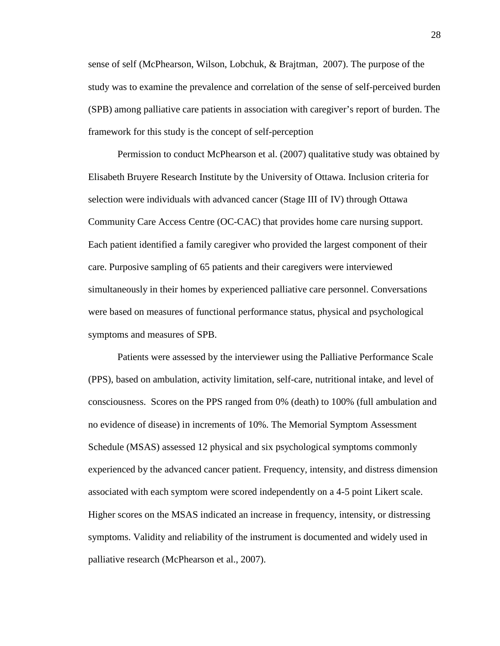sense of self (McPhearson, Wilson, Lobchuk, & Brajtman, 2007). The purpose of the study was to examine the prevalence and correlation of the sense of self-perceived burden (SPB) among palliative care patients in association with caregiver's report of burden. The framework for this study is the concept of self-perception

Permission to conduct McPhearson et al. (2007) qualitative study was obtained by Elisabeth Bruyere Research Institute by the University of Ottawa. Inclusion criteria for selection were individuals with advanced cancer (Stage III of IV) through Ottawa Community Care Access Centre (OC-CAC) that provides home care nursing support. Each patient identified a family caregiver who provided the largest component of their care. Purposive sampling of 65 patients and their caregivers were interviewed simultaneously in their homes by experienced palliative care personnel. Conversations were based on measures of functional performance status, physical and psychological symptoms and measures of SPB.

Patients were assessed by the interviewer using the Palliative Performance Scale (PPS), based on ambulation, activity limitation, self-care, nutritional intake, and level of consciousness. Scores on the PPS ranged from 0% (death) to 100% (full ambulation and no evidence of disease) in increments of 10%. The Memorial Symptom Assessment Schedule (MSAS) assessed 12 physical and six psychological symptoms commonly experienced by the advanced cancer patient. Frequency, intensity, and distress dimension associated with each symptom were scored independently on a 4-5 point Likert scale. Higher scores on the MSAS indicated an increase in frequency, intensity, or distressing symptoms. Validity and reliability of the instrument is documented and widely used in palliative research (McPhearson et al., 2007).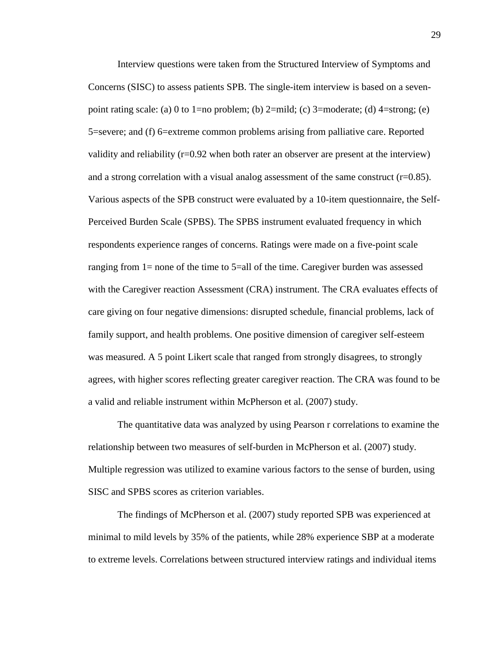Interview questions were taken from the Structured Interview of Symptoms and Concerns (SISC) to assess patients SPB. The single-item interview is based on a sevenpoint rating scale: (a) 0 to 1=no problem; (b) 2=mild; (c) 3=moderate; (d) 4=strong; (e) 5=severe; and (f) 6=extreme common problems arising from palliative care. Reported validity and reliability  $(r=0.92)$  when both rater an observer are present at the interview) and a strong correlation with a visual analog assessment of the same construct  $(r=0.85)$ . Various aspects of the SPB construct were evaluated by a 10-item questionnaire, the Self-Perceived Burden Scale (SPBS). The SPBS instrument evaluated frequency in which respondents experience ranges of concerns. Ratings were made on a five-point scale ranging from 1= none of the time to 5=all of the time. Caregiver burden was assessed with the Caregiver reaction Assessment (CRA) instrument. The CRA evaluates effects of care giving on four negative dimensions: disrupted schedule, financial problems, lack of family support, and health problems. One positive dimension of caregiver self-esteem was measured. A 5 point Likert scale that ranged from strongly disagrees, to strongly agrees, with higher scores reflecting greater caregiver reaction. The CRA was found to be a valid and reliable instrument within McPherson et al. (2007) study.

The quantitative data was analyzed by using Pearson r correlations to examine the relationship between two measures of self-burden in McPherson et al. (2007) study. Multiple regression was utilized to examine various factors to the sense of burden, using SISC and SPBS scores as criterion variables.

The findings of McPherson et al. (2007) study reported SPB was experienced at minimal to mild levels by 35% of the patients, while 28% experience SBP at a moderate to extreme levels. Correlations between structured interview ratings and individual items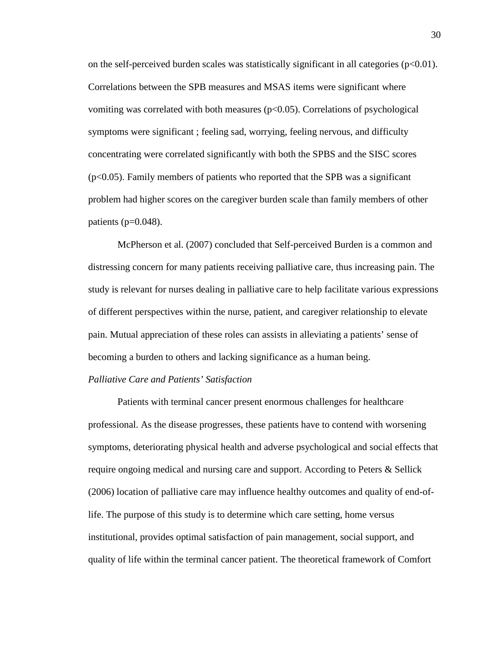on the self-perceived burden scales was statistically significant in all categories ( $p<0.01$ ). Correlations between the SPB measures and MSAS items were significant where vomiting was correlated with both measures  $(p<0.05)$ . Correlations of psychological symptoms were significant ; feeling sad, worrying, feeling nervous, and difficulty concentrating were correlated significantly with both the SPBS and the SISC scores  $(p<0.05)$ . Family members of patients who reported that the SPB was a significant problem had higher scores on the caregiver burden scale than family members of other patients ( $p=0.048$ ).

McPherson et al. (2007) concluded that Self-perceived Burden is a common and distressing concern for many patients receiving palliative care, thus increasing pain. The study is relevant for nurses dealing in palliative care to help facilitate various expressions of different perspectives within the nurse, patient, and caregiver relationship to elevate pain. Mutual appreciation of these roles can assists in alleviating a patients' sense of becoming a burden to others and lacking significance as a human being.

#### *Palliative Care and Patients' Satisfaction*

Patients with terminal cancer present enormous challenges for healthcare professional. As the disease progresses, these patients have to contend with worsening symptoms, deteriorating physical health and adverse psychological and social effects that require ongoing medical and nursing care and support. According to Peters & Sellick (2006) location of palliative care may influence healthy outcomes and quality of end-oflife. The purpose of this study is to determine which care setting, home versus institutional, provides optimal satisfaction of pain management, social support, and quality of life within the terminal cancer patient. The theoretical framework of Comfort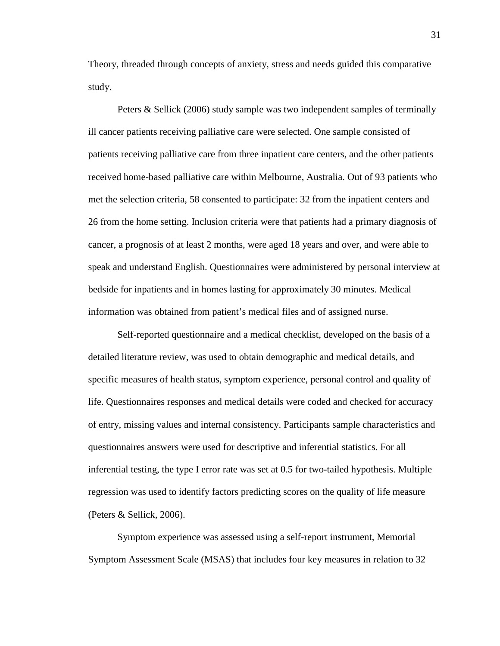Theory, threaded through concepts of anxiety, stress and needs guided this comparative study.

Peters & Sellick (2006) study sample was two independent samples of terminally ill cancer patients receiving palliative care were selected. One sample consisted of patients receiving palliative care from three inpatient care centers, and the other patients received home-based palliative care within Melbourne, Australia. Out of 93 patients who met the selection criteria, 58 consented to participate: 32 from the inpatient centers and 26 from the home setting. Inclusion criteria were that patients had a primary diagnosis of cancer, a prognosis of at least 2 months, were aged 18 years and over, and were able to speak and understand English. Questionnaires were administered by personal interview at bedside for inpatients and in homes lasting for approximately 30 minutes. Medical information was obtained from patient's medical files and of assigned nurse.

Self-reported questionnaire and a medical checklist, developed on the basis of a detailed literature review, was used to obtain demographic and medical details, and specific measures of health status, symptom experience, personal control and quality of life. Questionnaires responses and medical details were coded and checked for accuracy of entry, missing values and internal consistency. Participants sample characteristics and questionnaires answers were used for descriptive and inferential statistics. For all inferential testing, the type I error rate was set at 0.5 for two-tailed hypothesis. Multiple regression was used to identify factors predicting scores on the quality of life measure (Peters & Sellick, 2006).

Symptom experience was assessed using a self-report instrument, Memorial Symptom Assessment Scale (MSAS) that includes four key measures in relation to 32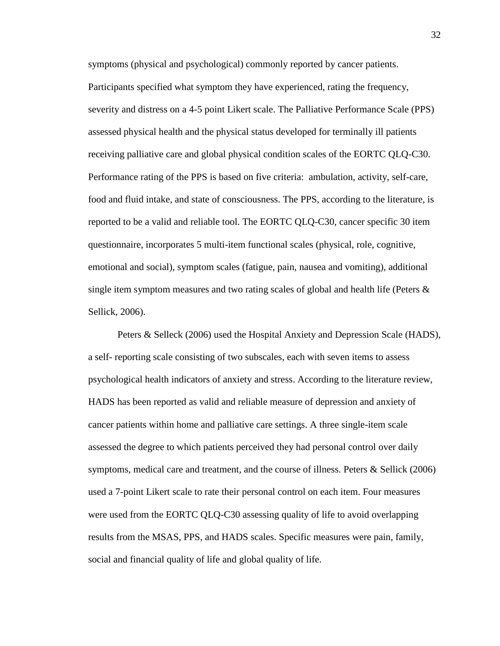symptoms (physical and psychological) commonly reported by cancer patients. Participants specified what symptom they have experienced, rating the frequency, severity and distress on a 4-5 point Likert scale. The Palliative Performance Scale (PPS) assessed physical health and the physical status developed for terminally ill patients receiving palliative care and global physical condition scales of the EORTC QLQ-C30. Performance rating of the PPS is based on five criteria: ambulation, activity, self-care, food and fluid intake, and state of consciousness. The PPS, according to the literature, is reported to be a valid and reliable tool. The EORTC QLQ-C30, cancer specific 30 item questionnaire, incorporates 5 multi-item functional scales (physical, role, cognitive, emotional and social), symptom scales (fatigue, pain, nausea and vomiting), additional single item symptom measures and two rating scales of global and health life (Peters  $\&$ Sellick, 2006).

Peters & Selleck (2006) used the Hospital Anxiety and Depression Scale (HADS), a self- reporting scale consisting of two subscales, each with seven items to assess psychological health indicators of anxiety and stress. According to the literature review, HADS has been reported as valid and reliable measure of depression and anxiety of cancer patients within home and palliative care settings. A three single-item scale assessed the degree to which patients perceived they had personal control over daily symptoms, medical care and treatment, and the course of illness. Peters & Sellick (2006) used a 7-point Likert scale to rate their personal control on each item. Four measures were used from the EORTC QLQ-C30 assessing quality of life to avoid overlapping results from the MSAS, PPS, and HADS scales. Specific measures were pain, family, social and financial quality of life and global quality of life.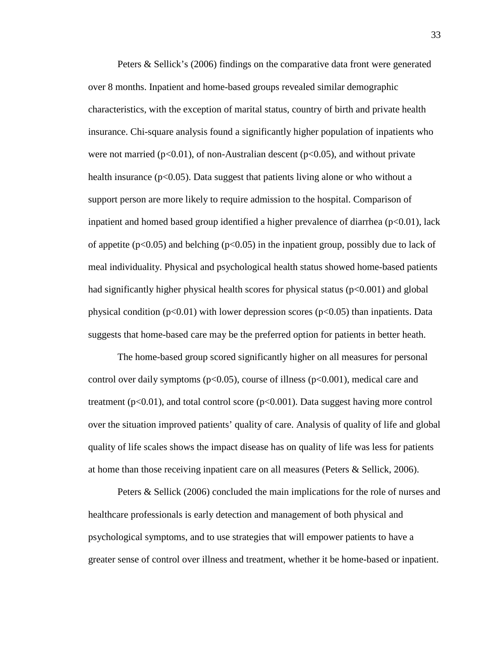Peters & Sellick's (2006) findings on the comparative data front were generated over 8 months. Inpatient and home-based groups revealed similar demographic characteristics, with the exception of marital status, country of birth and private health insurance. Chi-square analysis found a significantly higher population of inpatients who were not married ( $p<0.01$ ), of non-Australian descent ( $p<0.05$ ), and without private health insurance  $(p<0.05)$ . Data suggest that patients living alone or who without a support person are more likely to require admission to the hospital. Comparison of inpatient and homed based group identified a higher prevalence of diarrhea ( $p<0.01$ ), lack of appetite ( $p<0.05$ ) and belching ( $p<0.05$ ) in the inpatient group, possibly due to lack of meal individuality. Physical and psychological health status showed home-based patients had significantly higher physical health scores for physical status ( $p<0.001$ ) and global physical condition ( $p<0.01$ ) with lower depression scores ( $p<0.05$ ) than inpatients. Data suggests that home-based care may be the preferred option for patients in better heath.

The home-based group scored significantly higher on all measures for personal control over daily symptoms ( $p<0.05$ ), course of illness ( $p<0.001$ ), medical care and treatment  $(p<0.01)$ , and total control score  $(p<0.001)$ . Data suggest having more control over the situation improved patients' quality of care. Analysis of quality of life and global quality of life scales shows the impact disease has on quality of life was less for patients at home than those receiving inpatient care on all measures (Peters & Sellick, 2006).

Peters & Sellick (2006) concluded the main implications for the role of nurses and healthcare professionals is early detection and management of both physical and psychological symptoms, and to use strategies that will empower patients to have a greater sense of control over illness and treatment, whether it be home-based or inpatient.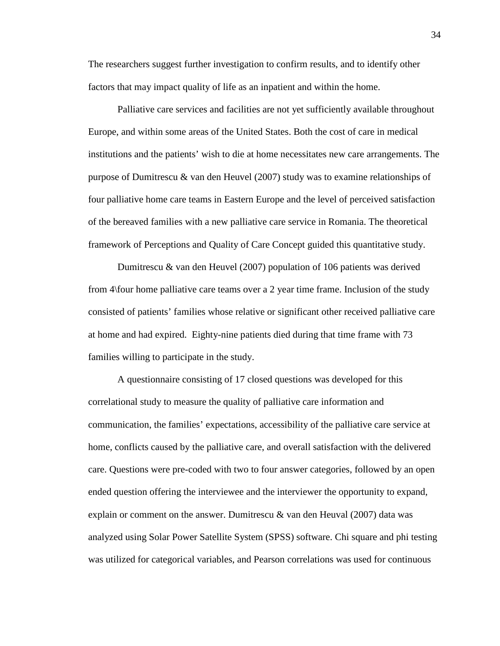The researchers suggest further investigation to confirm results, and to identify other factors that may impact quality of life as an inpatient and within the home.

Palliative care services and facilities are not yet sufficiently available throughout Europe, and within some areas of the United States. Both the cost of care in medical institutions and the patients' wish to die at home necessitates new care arrangements. The purpose of Dumitrescu & van den Heuvel (2007) study was to examine relationships of four palliative home care teams in Eastern Europe and the level of perceived satisfaction of the bereaved families with a new palliative care service in Romania. The theoretical framework of Perceptions and Quality of Care Concept guided this quantitative study.

Dumitrescu & van den Heuvel (2007) population of 106 patients was derived from 4\four home palliative care teams over a 2 year time frame. Inclusion of the study consisted of patients' families whose relative or significant other received palliative care at home and had expired. Eighty-nine patients died during that time frame with 73 families willing to participate in the study.

A questionnaire consisting of 17 closed questions was developed for this correlational study to measure the quality of palliative care information and communication, the families' expectations, accessibility of the palliative care service at home, conflicts caused by the palliative care, and overall satisfaction with the delivered care. Questions were pre-coded with two to four answer categories, followed by an open ended question offering the interviewee and the interviewer the opportunity to expand, explain or comment on the answer. Dumitrescu  $\&$  van den Heuval (2007) data was analyzed using Solar Power Satellite System (SPSS) software. Chi square and phi testing was utilized for categorical variables, and Pearson correlations was used for continuous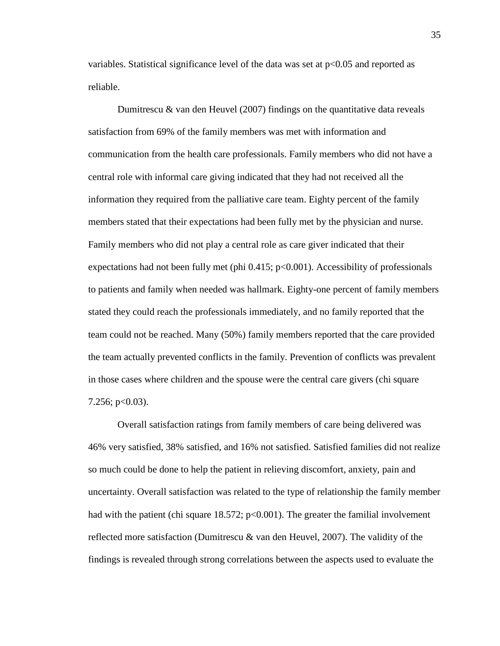variables. Statistical significance level of the data was set at  $p<0.05$  and reported as reliable.

Dumitrescu & van den Heuvel  $(2007)$  findings on the quantitative data reveals satisfaction from 69% of the family members was met with information and communication from the health care professionals. Family members who did not have a central role with informal care giving indicated that they had not received all the information they required from the palliative care team. Eighty percent of the family members stated that their expectations had been fully met by the physician and nurse. Family members who did not play a central role as care giver indicated that their expectations had not been fully met (phi  $0.415$ ; p<0.001). Accessibility of professionals to patients and family when needed was hallmark. Eighty-one percent of family members stated they could reach the professionals immediately, and no family reported that the team could not be reached. Many (50%) family members reported that the care provided the team actually prevented conflicts in the family. Prevention of conflicts was prevalent in those cases where children and the spouse were the central care givers (chi square  $7.256$ ; p $<0.03$ ).

Overall satisfaction ratings from family members of care being delivered was 46% very satisfied, 38% satisfied, and 16% not satisfied. Satisfied families did not realize so much could be done to help the patient in relieving discomfort, anxiety, pain and uncertainty. Overall satisfaction was related to the type of relationship the family member had with the patient (chi square  $18.572$ ;  $p<0.001$ ). The greater the familial involvement reflected more satisfaction (Dumitrescu  $\&$  van den Heuvel, 2007). The validity of the findings is revealed through strong correlations between the aspects used to evaluate the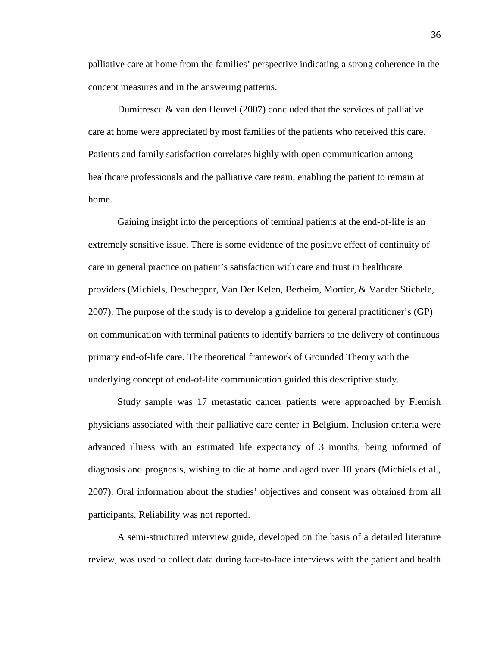palliative care at home from the families' perspective indicating a strong coherence in the concept measures and in the answering patterns.

Dumitrescu & van den Heuvel (2007) concluded that the services of palliative care at home were appreciated by most families of the patients who received this care. Patients and family satisfaction correlates highly with open communication among healthcare professionals and the palliative care team, enabling the patient to remain at home.

Gaining insight into the perceptions of terminal patients at the end-of-life is an extremely sensitive issue. There is some evidence of the positive effect of continuity of care in general practice on patient's satisfaction with care and trust in healthcare providers (Michiels, Deschepper, Van Der Kelen, Berheim, Mortier, & Vander Stichele, 2007). The purpose of the study is to develop a guideline for general practitioner's (GP) on communication with terminal patients to identify barriers to the delivery of continuous primary end-of-life care. The theoretical framework of Grounded Theory with the underlying concept of end-of-life communication guided this descriptive study.

Study sample was 17 metastatic cancer patients were approached by Flemish physicians associated with their palliative care center in Belgium. Inclusion criteria were advanced illness with an estimated life expectancy of 3 months, being informed of diagnosis and prognosis, wishing to die at home and aged over 18 years (Michiels et al., 2007). Oral information about the studies' objectives and consent was obtained from all participants. Reliability was not reported.

A semi-structured interview guide, developed on the basis of a detailed literature review, was used to collect data during face-to-face interviews with the patient and health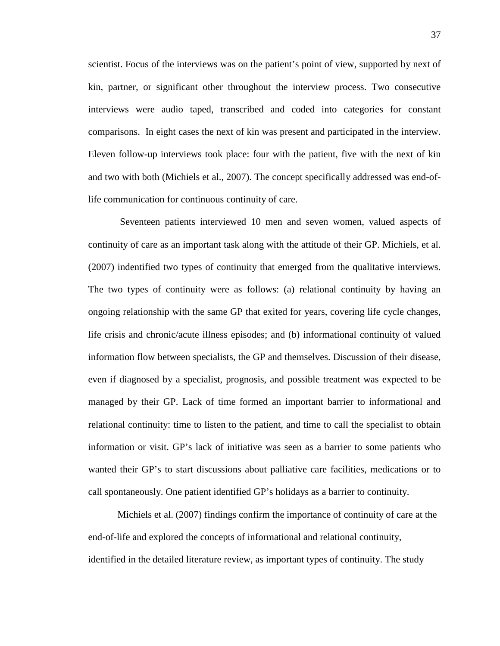scientist. Focus of the interviews was on the patient's point of view, supported by next of kin, partner, or significant other throughout the interview process. Two consecutive interviews were audio taped, transcribed and coded into categories for constant comparisons. In eight cases the next of kin was present and participated in the interview. Eleven follow-up interviews took place: four with the patient, five with the next of kin and two with both (Michiels et al., 2007). The concept specifically addressed was end-oflife communication for continuous continuity of care.

Seventeen patients interviewed 10 men and seven women, valued aspects of continuity of care as an important task along with the attitude of their GP. Michiels, et al. (2007) indentified two types of continuity that emerged from the qualitative interviews. The two types of continuity were as follows: (a) relational continuity by having an ongoing relationship with the same GP that exited for years, covering life cycle changes, life crisis and chronic/acute illness episodes; and (b) informational continuity of valued information flow between specialists, the GP and themselves. Discussion of their disease, even if diagnosed by a specialist, prognosis, and possible treatment was expected to be managed by their GP. Lack of time formed an important barrier to informational and relational continuity: time to listen to the patient, and time to call the specialist to obtain information or visit. GP's lack of initiative was seen as a barrier to some patients who wanted their GP's to start discussions about palliative care facilities, medications or to call spontaneously. One patient identified GP's holidays as a barrier to continuity.

Michiels et al. (2007) findings confirm the importance of continuity of care at the end-of-life and explored the concepts of informational and relational continuity, identified in the detailed literature review, as important types of continuity. The study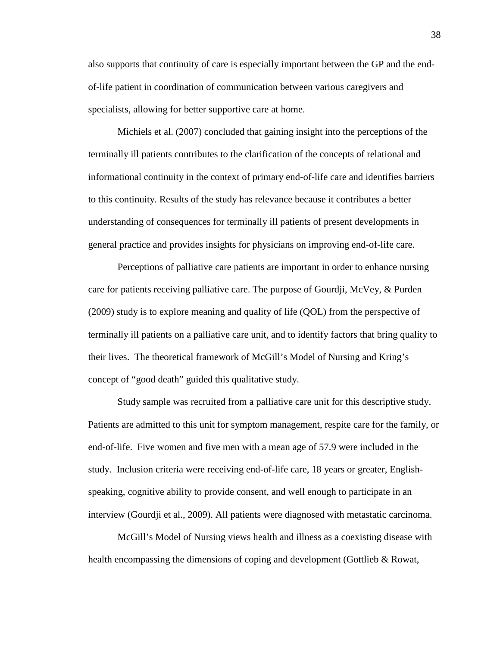also supports that continuity of care is especially important between the GP and the endof-life patient in coordination of communication between various caregivers and specialists, allowing for better supportive care at home.

Michiels et al. (2007) concluded that gaining insight into the perceptions of the terminally ill patients contributes to the clarification of the concepts of relational and informational continuity in the context of primary end-of-life care and identifies barriers to this continuity. Results of the study has relevance because it contributes a better understanding of consequences for terminally ill patients of present developments in general practice and provides insights for physicians on improving end-of-life care.

Perceptions of palliative care patients are important in order to enhance nursing care for patients receiving palliative care. The purpose of Gourdji, McVey, & Purden (2009) study is to explore meaning and quality of life (QOL) from the perspective of terminally ill patients on a palliative care unit, and to identify factors that bring quality to their lives. The theoretical framework of McGill's Model of Nursing and Kring's concept of "good death" guided this qualitative study.

Study sample was recruited from a palliative care unit for this descriptive study. Patients are admitted to this unit for symptom management, respite care for the family, or end-of-life. Five women and five men with a mean age of 57.9 were included in the study. Inclusion criteria were receiving end-of-life care, 18 years or greater, Englishspeaking, cognitive ability to provide consent, and well enough to participate in an interview (Gourdji et al., 2009). All patients were diagnosed with metastatic carcinoma.

McGill's Model of Nursing views health and illness as a coexisting disease with health encompassing the dimensions of coping and development (Gottlieb & Rowat,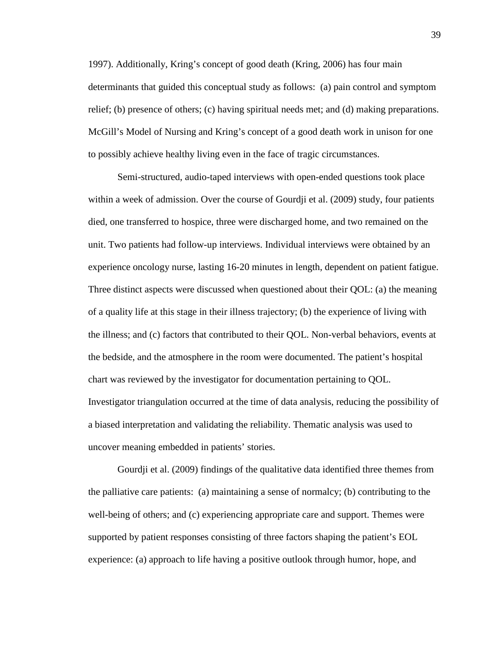1997). Additionally, Kring's concept of good death (Kring, 2006) has four main determinants that guided this conceptual study as follows: (a) pain control and symptom relief; (b) presence of others; (c) having spiritual needs met; and (d) making preparations. McGill's Model of Nursing and Kring's concept of a good death work in unison for one to possibly achieve healthy living even in the face of tragic circumstances.

Semi-structured, audio-taped interviews with open-ended questions took place within a week of admission. Over the course of Gourdji et al. (2009) study, four patients died, one transferred to hospice, three were discharged home, and two remained on the unit. Two patients had follow-up interviews. Individual interviews were obtained by an experience oncology nurse, lasting 16-20 minutes in length, dependent on patient fatigue. Three distinct aspects were discussed when questioned about their QOL: (a) the meaning of a quality life at this stage in their illness trajectory; (b) the experience of living with the illness; and (c) factors that contributed to their QOL. Non-verbal behaviors, events at the bedside, and the atmosphere in the room were documented. The patient's hospital chart was reviewed by the investigator for documentation pertaining to QOL. Investigator triangulation occurred at the time of data analysis, reducing the possibility of a biased interpretation and validating the reliability. Thematic analysis was used to uncover meaning embedded in patients' stories.

Gourdji et al. (2009) findings of the qualitative data identified three themes from the palliative care patients: (a) maintaining a sense of normalcy; (b) contributing to the well-being of others; and (c) experiencing appropriate care and support. Themes were supported by patient responses consisting of three factors shaping the patient's EOL experience: (a) approach to life having a positive outlook through humor, hope, and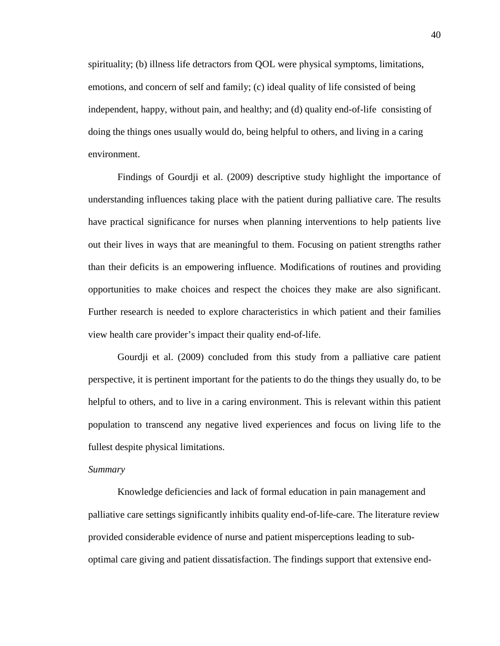spirituality; (b) illness life detractors from QOL were physical symptoms, limitations, emotions, and concern of self and family; (c) ideal quality of life consisted of being independent, happy, without pain, and healthy; and (d) quality end-of-life consisting of doing the things ones usually would do, being helpful to others, and living in a caring environment.

Findings of Gourdji et al. (2009) descriptive study highlight the importance of understanding influences taking place with the patient during palliative care. The results have practical significance for nurses when planning interventions to help patients live out their lives in ways that are meaningful to them. Focusing on patient strengths rather than their deficits is an empowering influence. Modifications of routines and providing opportunities to make choices and respect the choices they make are also significant. Further research is needed to explore characteristics in which patient and their families view health care provider's impact their quality end-of-life.

Gourdji et al. (2009) concluded from this study from a palliative care patient perspective, it is pertinent important for the patients to do the things they usually do, to be helpful to others, and to live in a caring environment. This is relevant within this patient population to transcend any negative lived experiences and focus on living life to the fullest despite physical limitations.

#### *Summary*

Knowledge deficiencies and lack of formal education in pain management and palliative care settings significantly inhibits quality end-of-life-care. The literature review provided considerable evidence of nurse and patient misperceptions leading to suboptimal care giving and patient dissatisfaction. The findings support that extensive end-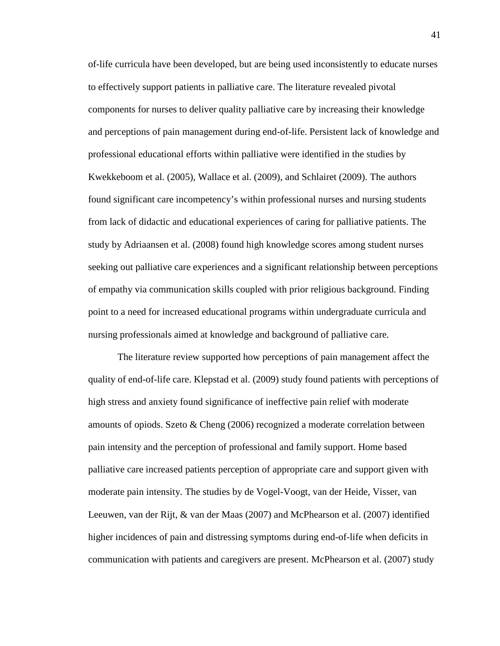of-life curricula have been developed, but are being used inconsistently to educate nurses to effectively support patients in palliative care. The literature revealed pivotal components for nurses to deliver quality palliative care by increasing their knowledge and perceptions of pain management during end-of-life. Persistent lack of knowledge and professional educational efforts within palliative were identified in the studies by Kwekkeboom et al. (2005), Wallace et al. (2009), and Schlairet (2009). The authors found significant care incompetency's within professional nurses and nursing students from lack of didactic and educational experiences of caring for palliative patients. The study by Adriaansen et al. (2008) found high knowledge scores among student nurses seeking out palliative care experiences and a significant relationship between perceptions of empathy via communication skills coupled with prior religious background. Finding point to a need for increased educational programs within undergraduate curricula and nursing professionals aimed at knowledge and background of palliative care.

The literature review supported how perceptions of pain management affect the quality of end-of-life care. Klepstad et al. (2009) study found patients with perceptions of high stress and anxiety found significance of ineffective pain relief with moderate amounts of opiods. Szeto & Cheng (2006) recognized a moderate correlation between pain intensity and the perception of professional and family support. Home based palliative care increased patients perception of appropriate care and support given with moderate pain intensity. The studies by de Vogel-Voogt, van der Heide, Visser, van Leeuwen, van der Rijt, & van der Maas (2007) and McPhearson et al. (2007) identified higher incidences of pain and distressing symptoms during end-of-life when deficits in communication with patients and caregivers are present. McPhearson et al. (2007) study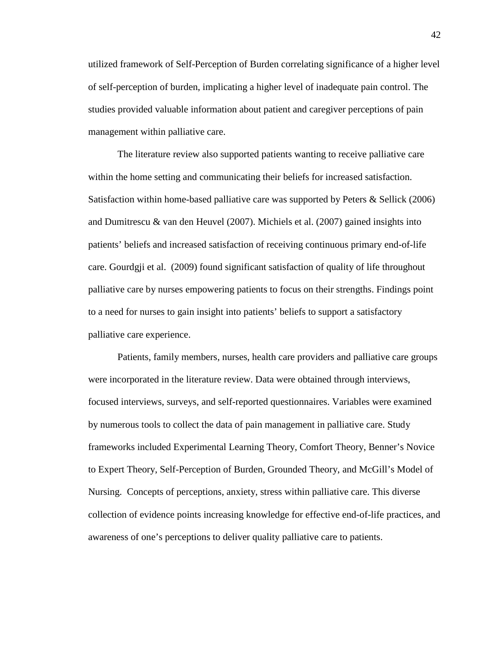utilized framework of Self-Perception of Burden correlating significance of a higher level of self-perception of burden, implicating a higher level of inadequate pain control. The studies provided valuable information about patient and caregiver perceptions of pain management within palliative care.

The literature review also supported patients wanting to receive palliative care within the home setting and communicating their beliefs for increased satisfaction. Satisfaction within home-based palliative care was supported by Peters & Sellick (2006) and Dumitrescu  $\&$  van den Heuvel (2007). Michiels et al. (2007) gained insights into patients' beliefs and increased satisfaction of receiving continuous primary end-of-life care. Gourdgji et al. (2009) found significant satisfaction of quality of life throughout palliative care by nurses empowering patients to focus on their strengths. Findings point to a need for nurses to gain insight into patients' beliefs to support a satisfactory palliative care experience.

Patients, family members, nurses, health care providers and palliative care groups were incorporated in the literature review. Data were obtained through interviews, focused interviews, surveys, and self-reported questionnaires. Variables were examined by numerous tools to collect the data of pain management in palliative care. Study frameworks included Experimental Learning Theory, Comfort Theory, Benner's Novice to Expert Theory, Self-Perception of Burden, Grounded Theory, and McGill's Model of Nursing. Concepts of perceptions, anxiety, stress within palliative care. This diverse collection of evidence points increasing knowledge for effective end-of-life practices, and awareness of one's perceptions to deliver quality palliative care to patients.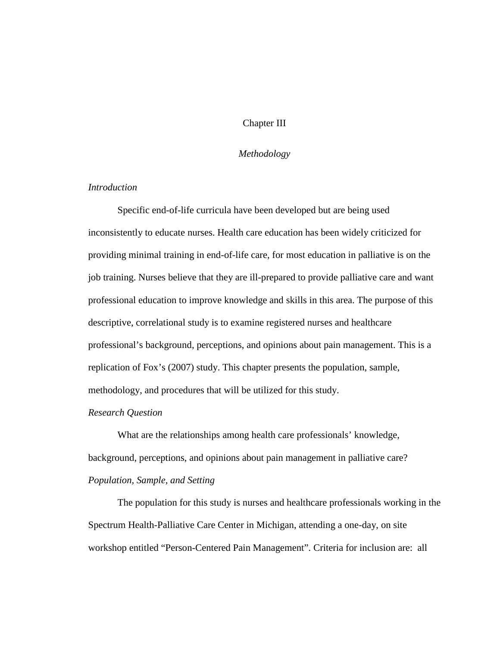## Chapter III

### *Methodology*

## *Introduction*

Specific end-of-life curricula have been developed but are being used inconsistently to educate nurses. Health care education has been widely criticized for providing minimal training in end-of-life care, for most education in palliative is on the job training. Nurses believe that they are ill-prepared to provide palliative care and want professional education to improve knowledge and skills in this area. The purpose of this descriptive, correlational study is to examine registered nurses and healthcare professional's background, perceptions, and opinions about pain management. This is a replication of Fox's (2007) study. This chapter presents the population, sample, methodology, and procedures that will be utilized for this study.

## *Research Question*

What are the relationships among health care professionals' knowledge, background, perceptions, and opinions about pain management in palliative care? *Population, Sample, and Setting*

The population for this study is nurses and healthcare professionals working in the Spectrum Health-Palliative Care Center in Michigan, attending a one-day, on site workshop entitled "Person-Centered Pain Management". Criteria for inclusion are: all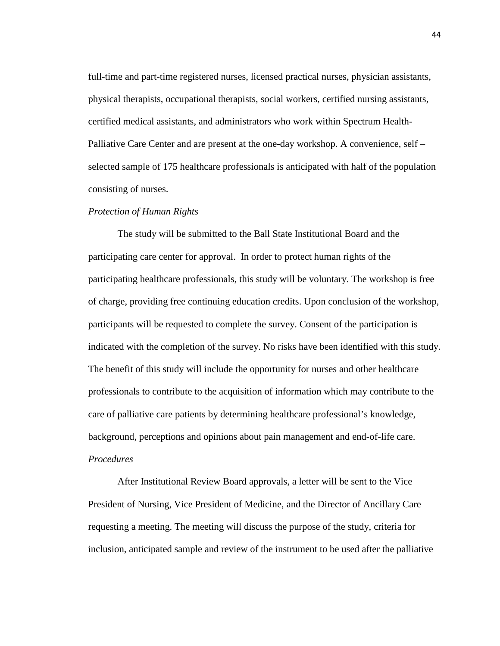full-time and part-time registered nurses, licensed practical nurses, physician assistants, physical therapists, occupational therapists, social workers, certified nursing assistants, certified medical assistants, and administrators who work within Spectrum Health-Palliative Care Center and are present at the one-day workshop. A convenience, self – selected sample of 175 healthcare professionals is anticipated with half of the population consisting of nurses.

## *Protection of Human Rights*

The study will be submitted to the Ball State Institutional Board and the participating care center for approval. In order to protect human rights of the participating healthcare professionals, this study will be voluntary. The workshop is free of charge, providing free continuing education credits. Upon conclusion of the workshop, participants will be requested to complete the survey. Consent of the participation is indicated with the completion of the survey. No risks have been identified with this study. The benefit of this study will include the opportunity for nurses and other healthcare professionals to contribute to the acquisition of information which may contribute to the care of palliative care patients by determining healthcare professional's knowledge, background, perceptions and opinions about pain management and end-of-life care. *Procedures*

After Institutional Review Board approvals, a letter will be sent to the Vice President of Nursing, Vice President of Medicine, and the Director of Ancillary Care requesting a meeting. The meeting will discuss the purpose of the study, criteria for inclusion, anticipated sample and review of the instrument to be used after the palliative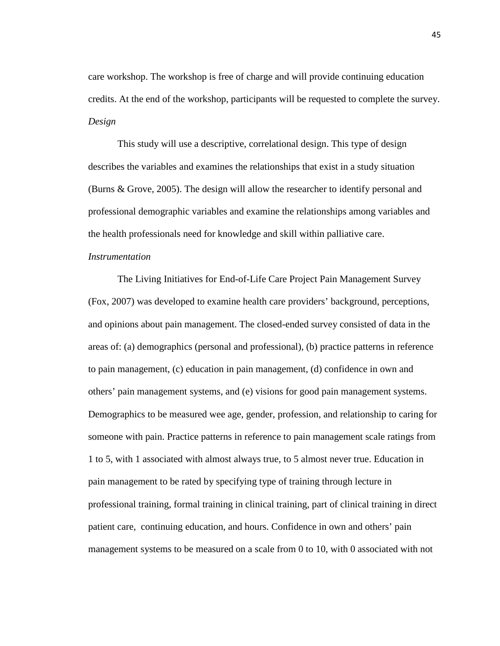care workshop. The workshop is free of charge and will provide continuing education credits. At the end of the workshop, participants will be requested to complete the survey. *Design*

This study will use a descriptive, correlational design. This type of design describes the variables and examines the relationships that exist in a study situation (Burns & Grove, 2005). The design will allow the researcher to identify personal and professional demographic variables and examine the relationships among variables and the health professionals need for knowledge and skill within palliative care.

## *Instrumentation*

The Living Initiatives for End-of-Life Care Project Pain Management Survey (Fox, 2007) was developed to examine health care providers' background, perceptions, and opinions about pain management. The closed-ended survey consisted of data in the areas of: (a) demographics (personal and professional), (b) practice patterns in reference to pain management, (c) education in pain management, (d) confidence in own and others' pain management systems, and (e) visions for good pain management systems. Demographics to be measured wee age, gender, profession, and relationship to caring for someone with pain. Practice patterns in reference to pain management scale ratings from 1 to 5, with 1 associated with almost always true, to 5 almost never true. Education in pain management to be rated by specifying type of training through lecture in professional training, formal training in clinical training, part of clinical training in direct patient care, continuing education, and hours. Confidence in own and others' pain management systems to be measured on a scale from 0 to 10, with 0 associated with not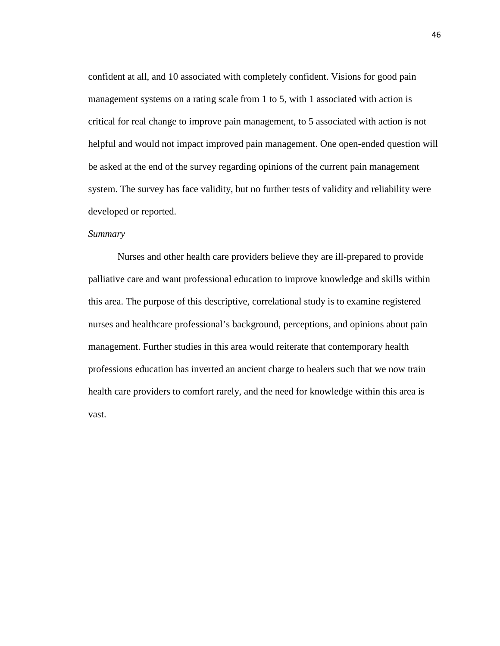confident at all, and 10 associated with completely confident. Visions for good pain management systems on a rating scale from 1 to 5, with 1 associated with action is critical for real change to improve pain management, to 5 associated with action is not helpful and would not impact improved pain management. One open-ended question will be asked at the end of the survey regarding opinions of the current pain management system. The survey has face validity, but no further tests of validity and reliability were developed or reported.

#### *Summary*

Nurses and other health care providers believe they are ill-prepared to provide palliative care and want professional education to improve knowledge and skills within this area. The purpose of this descriptive, correlational study is to examine registered nurses and healthcare professional's background, perceptions, and opinions about pain management. Further studies in this area would reiterate that contemporary health professions education has inverted an ancient charge to healers such that we now train health care providers to comfort rarely, and the need for knowledge within this area is vast.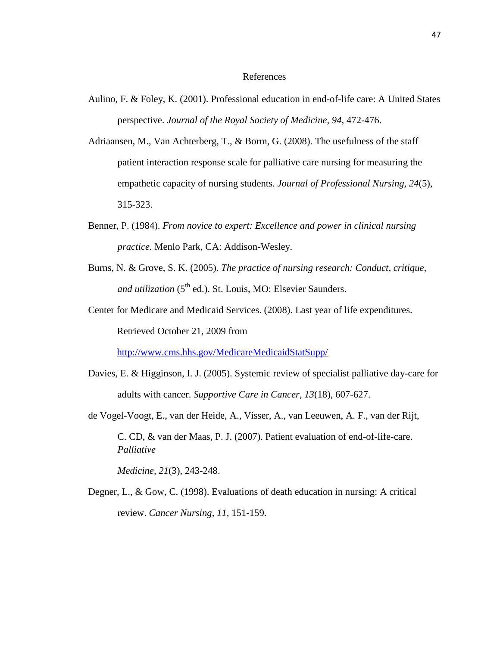## References

- Aulino, F. & Foley, K. (2001). Professional education in end-of-life care: A United States perspective. *Journal of the Royal Society of Medicine, 94,* 472-476.
- Adriaansen, M., Van Achterberg, T., & Borm, G. (2008). The usefulness of the staff patient interaction response scale for palliative care nursing for measuring the empathetic capacity of nursing students. *Journal of Professional Nursing, 24*(5), 315-323.
- Benner, P. (1984). *From novice to expert: Excellence and power in clinical nursing practice.* Menlo Park, CA: Addison-Wesley.
- Burns, N. & Grove, S. K. (2005). *The practice of nursing research: Conduct, critique,* and utilization (5<sup>th</sup> ed.). St. Louis, MO: Elsevier Saunders.
- Center for Medicare and Medicaid Services. (2008). Last year of life expenditures. Retrieved October 21, 2009 from

<http://www.cms.hhs.gov/MedicareMedicaidStatSupp/>

- Davies, E. & Higginson, I. J. (2005). Systemic review of specialist palliative day-care for adults with cancer. *Supportive Care in Cancer, 13*(18), 607-627.
- de Vogel-Voogt, E., van der Heide, A., Visser, A., van Leeuwen, A. F., van der Rijt, C. CD, & van der Maas, P. J. (2007). Patient evaluation of end-of-life-care. *Palliative*

*Medicine*, *21*(3), 243-248.

Degner, L., & Gow, C. (1998). Evaluations of death education in nursing: A critical review. *Cancer Nursing, 11,* 151-159.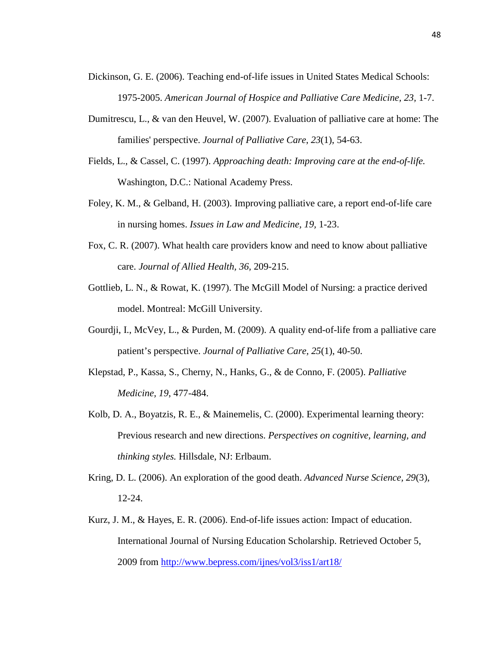- Dickinson, G. E. (2006). Teaching end-of-life issues in United States Medical Schools: 1975-2005. *American Journal of Hospice and Palliative Care Medicine, 23,* 1-7.
- Dumitrescu, L., & van den Heuvel, W. (2007). Evaluation of palliative care at home: The families' perspective. *Journal of Palliative Care*, *23*(1), 54-63.
- Fields, L., & Cassel, C. (1997). *Approaching death: Improving care at the end-of-life.*  Washington, D.C.: National Academy Press.
- Foley, K. M., & Gelband, H. (2003). Improving palliative care, a report end-of-life care in nursing homes. *Issues in Law and Medicine, 19,* 1-23.
- Fox, C. R. (2007). What health care providers know and need to know about palliative care. *Journal of Allied Health, 36,* 209-215.
- Gottlieb, L. N., & Rowat, K. (1997). The McGill Model of Nursing: a practice derived model. Montreal: McGill University.
- Gourdji, I., McVey, L., & Purden, M. (2009). A quality end-of-life from a palliative care patient's perspective. *Journal of Palliative Care, 25*(1), 40-50.
- Klepstad, P., Kassa, S., Cherny, N., Hanks, G., & de Conno, F. (2005). *Palliative Medicine, 19*, 477-484.
- Kolb, D. A., Boyatzis, R. E., & Mainemelis, C. (2000). Experimental learning theory: Previous research and new directions. *Perspectives on cognitive, learning, and thinking styles.* Hillsdale, NJ: Erlbaum.
- Kring, D. L. (2006). An exploration of the good death. *Advanced Nurse Science, 29*(3), 12-24.
- Kurz, J. M., & Hayes, E. R. (2006). End-of-life issues action: Impact of education. International Journal of Nursing Education Scholarship. Retrieved October 5, 2009 from<http://www.bepress.com/ijnes/vol3/iss1/art18/>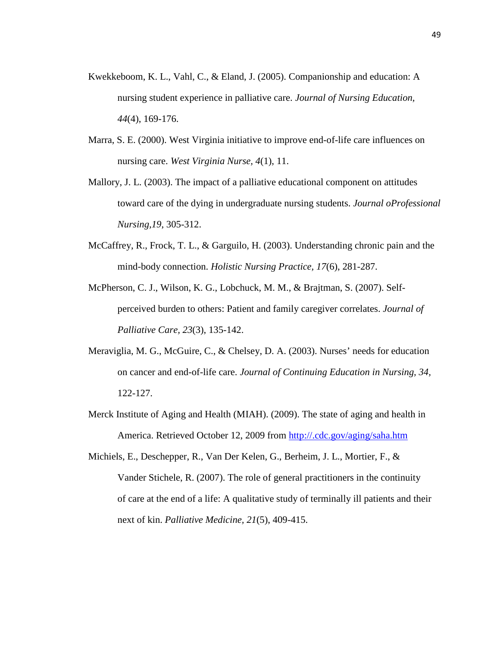- Kwekkeboom, K. L., Vahl, C., & Eland, J. (2005). Companionship and education: A nursing student experience in palliative care. *Journal of Nursing Education, 44*(4), 169-176.
- Marra, S. E. (2000). West Virginia initiative to improve end-of-life care influences on nursing care. *West Virginia Nurse, 4*(1), 11.
- Mallory, J. L. (2003). The impact of a palliative educational component on attitudes toward care of the dying in undergraduate nursing students. *Journal oProfessional Nursing,19*, 305-312.
- McCaffrey, R., Frock, T. L., & Garguilo, H. (2003). Understanding chronic pain and the mind-body connection. *Holistic Nursing Practice, 17*(6), 281-287.
- McPherson, C. J., Wilson, K. G., Lobchuck, M. M., & Brajtman, S. (2007). Selfperceived burden to others: Patient and family caregiver correlates. *Journal of Palliative Care, 23*(3), 135-142.
- Meraviglia, M. G., McGuire, C., & Chelsey, D. A. (2003). Nurses' needs for education on cancer and end-of-life care. *Journal of Continuing Education in Nursing, 34,*  122-127.
- Merck Institute of Aging and Health (MIAH). (2009). The state of aging and health in America. Retrieved October 12, 2009 from<http://.cdc.gov/aging/saha.htm>
- Michiels, E., Deschepper, R., Van Der Kelen, G., Berheim, J. L., Mortier, F., & Vander Stichele, R. (2007). The role of general practitioners in the continuity of care at the end of a life: A qualitative study of terminally ill patients and their next of kin. *Palliative Medicine, 21*(5), 409-415.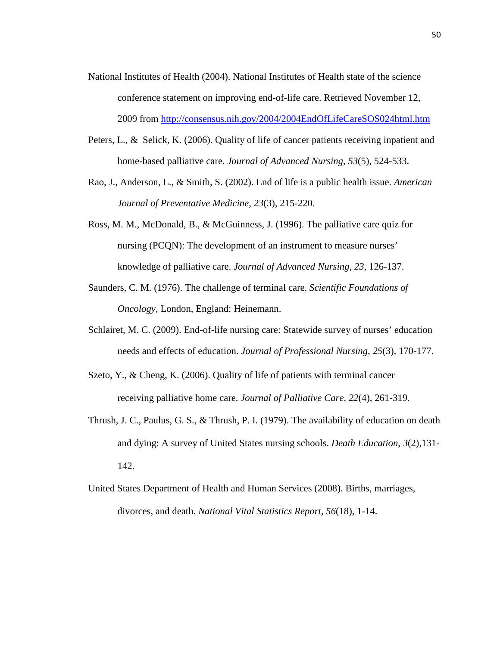- National Institutes of Health (2004). National Institutes of Health state of the science conference statement on improving end-of-life care. Retrieved November 12, 2009 from<http://consensus.nih.gov/2004/2004EndOfLifeCareSOS024html.htm>
- Peters, L., & Selick, K. (2006). Quality of life of cancer patients receiving inpatient and home-based palliative care. *Journal of Advanced Nursing*, *53*(5), 524-533.
- Rao, J., Anderson, L., & Smith, S. (2002). End of life is a public health issue. *American Journal of Preventative Medicine, 23*(3), 215-220.
- Ross, M. M., McDonald, B., & McGuinness, J. (1996). The palliative care quiz for nursing (PCQN): The development of an instrument to measure nurses' knowledge of palliative care. *Journal of Advanced Nursing, 23*, 126-137.
- Saunders, C. M. (1976). The challenge of terminal care. *Scientific Foundations of Oncology,* London, England: Heinemann.
- Schlairet, M. C. (2009). End-of-life nursing care: Statewide survey of nurses' education needs and effects of education. *Journal of Professional Nursing, 25*(3), 170-177.
- Szeto, Y., & Cheng, K. (2006). Quality of life of patients with terminal cancer receiving palliative home care. *Journal of Palliative Care, 22*(4), 261-319.
- Thrush, J. C., Paulus, G. S., & Thrush, P. I. (1979). The availability of education on death and dying: A survey of United States nursing schools. *Death Education, 3*(2)*,*131- 142.
- United States Department of Health and Human Services (2008). Births, marriages, divorces, and death. *National Vital Statistics Report, 56*(18), 1-14.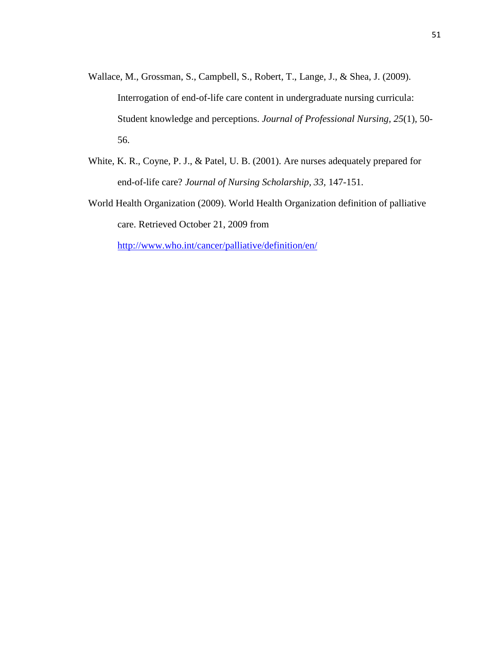- Wallace, M., Grossman, S., Campbell, S., Robert, T., Lange, J., & Shea, J. (2009). Interrogation of end-of-life care content in undergraduate nursing curricula: Student knowledge and perceptions. *Journal of Professional Nursing, 25*(1), 50- 56.
- White, K. R., Coyne, P. J., & Patel, U. B. (2001). Are nurses adequately prepared for end-of-life care? *Journal of Nursing Scholarship, 33,* 147-151.
- World Health Organization (2009). World Health Organization definition of palliative care. Retrieved October 21, 2009 from

<http://www.who.int/cancer/palliative/definition/en/>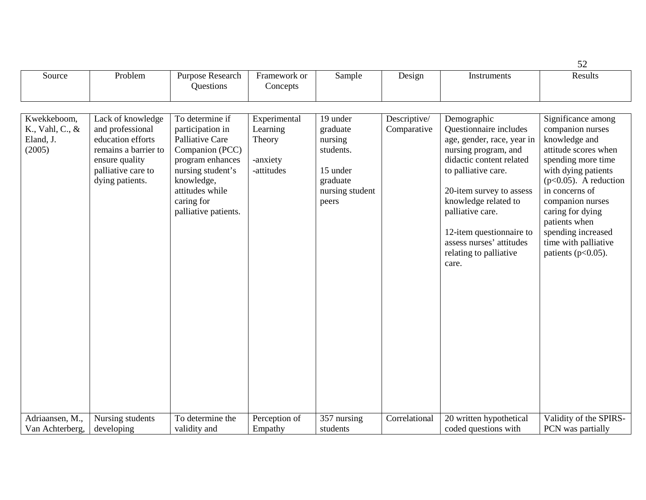|                                                       |                                                                                                                                               |                                                                                                                                                                                           |                                                              |                                                                                                  |                             |                                                                                                                                                                                                                                                                                                                   | 52                                                                                                                                                                                                                                                                                                          |
|-------------------------------------------------------|-----------------------------------------------------------------------------------------------------------------------------------------------|-------------------------------------------------------------------------------------------------------------------------------------------------------------------------------------------|--------------------------------------------------------------|--------------------------------------------------------------------------------------------------|-----------------------------|-------------------------------------------------------------------------------------------------------------------------------------------------------------------------------------------------------------------------------------------------------------------------------------------------------------------|-------------------------------------------------------------------------------------------------------------------------------------------------------------------------------------------------------------------------------------------------------------------------------------------------------------|
| Source                                                | Problem                                                                                                                                       | Purpose Research<br>Questions                                                                                                                                                             | Framework or<br>Concepts                                     | Sample                                                                                           | Design                      | Instruments                                                                                                                                                                                                                                                                                                       | Results                                                                                                                                                                                                                                                                                                     |
|                                                       |                                                                                                                                               |                                                                                                                                                                                           |                                                              |                                                                                                  |                             |                                                                                                                                                                                                                                                                                                                   |                                                                                                                                                                                                                                                                                                             |
| Kwekkeboom,<br>K., Vahl, C., &<br>Eland, J.<br>(2005) | Lack of knowledge<br>and professional<br>education efforts<br>remains a barrier to<br>ensure quality<br>palliative care to<br>dying patients. | To determine if<br>participation in<br>Palliative Care<br>Companion (PCC)<br>program enhances<br>nursing student's<br>knowledge,<br>attitudes while<br>caring for<br>palliative patients. | Experimental<br>Learning<br>Theory<br>-anxiety<br>-attitudes | 19 under<br>graduate<br>nursing<br>students.<br>15 under<br>graduate<br>nursing student<br>peers | Descriptive/<br>Comparative | Demographic<br>Questionnaire includes<br>age, gender, race, year in<br>nursing program, and<br>didactic content related<br>to palliative care.<br>20-item survey to assess<br>knowledge related to<br>palliative care.<br>12-item questionnaire to<br>assess nurses' attitudes<br>relating to palliative<br>care. | Significance among<br>companion nurses<br>knowledge and<br>attitude scores when<br>spending more time<br>with dying patients<br>$(p<0.05)$ . A reduction<br>in concerns of<br>companion nurses<br>caring for dying<br>patients when<br>spending increased<br>time with palliative<br>patients ( $p<0.05$ ). |
| Adriaansen, M.,                                       | Nursing students                                                                                                                              | To determine the                                                                                                                                                                          | Perception of                                                | 357 nursing                                                                                      | Correlational               | 20 written hypothetical                                                                                                                                                                                                                                                                                           | Validity of the SPIRS-                                                                                                                                                                                                                                                                                      |
| Van Achterberg,                                       | developing                                                                                                                                    | validity and                                                                                                                                                                              | Empathy                                                      | students                                                                                         |                             | coded questions with                                                                                                                                                                                                                                                                                              | PCN was partially                                                                                                                                                                                                                                                                                           |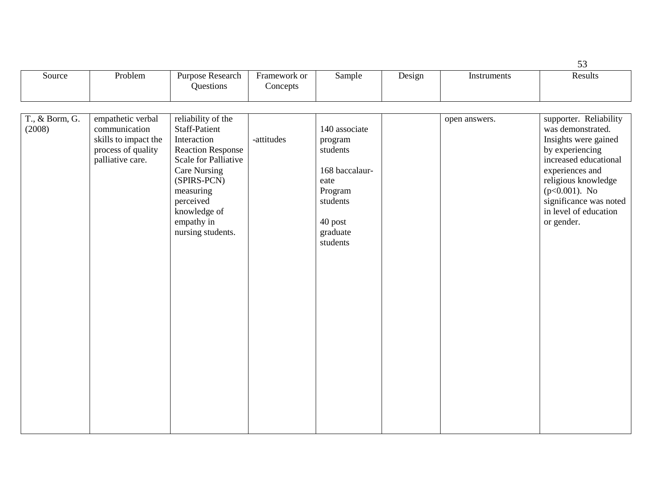|                          |                                                                                                      |                                                                                                                 |                          |                                                                                  |        |               | 53                                                                                                                          |
|--------------------------|------------------------------------------------------------------------------------------------------|-----------------------------------------------------------------------------------------------------------------|--------------------------|----------------------------------------------------------------------------------|--------|---------------|-----------------------------------------------------------------------------------------------------------------------------|
| Source                   | Problem                                                                                              | Purpose Research<br>Questions                                                                                   | Framework or<br>Concepts | Sample                                                                           | Design | Instruments   | Results                                                                                                                     |
| T., & Borm, G.<br>(2008) | empathetic verbal<br>communication<br>skills to impact the<br>process of quality<br>palliative care. | reliability of the<br><b>Staff-Patient</b><br>Interaction<br><b>Reaction Response</b><br>Scale for Palliative   | -attitudes               | 140 associate<br>program<br>students                                             |        | open answers. | supporter. Reliability<br>was demonstrated.<br>Insights were gained<br>by experiencing<br>increased educational             |
|                          |                                                                                                      | <b>Care Nursing</b><br>(SPIRS-PCN)<br>measuring<br>perceived<br>knowledge of<br>empathy in<br>nursing students. |                          | 168 baccalaur-<br>eate<br>Program<br>students<br>40 post<br>graduate<br>students |        |               | experiences and<br>religious knowledge<br>$(p<0.001)$ . No<br>significance was noted<br>in level of education<br>or gender. |
|                          |                                                                                                      |                                                                                                                 |                          |                                                                                  |        |               |                                                                                                                             |
|                          |                                                                                                      |                                                                                                                 |                          |                                                                                  |        |               |                                                                                                                             |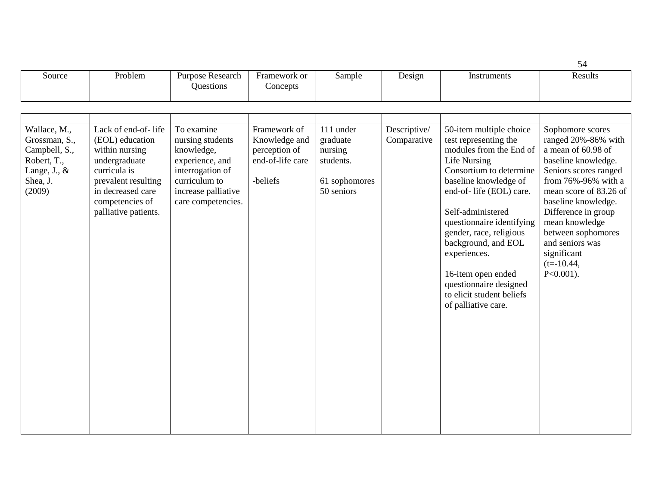|                                                                                                     |                                                                                                                                                                                  |                                                                                                                                                   |                                                                                |                                                                              |                             |                                                                                                                                                                                                                                                                                                                                                                                                            | 54                                                                                                                                                                                                                                                                                                                    |
|-----------------------------------------------------------------------------------------------------|----------------------------------------------------------------------------------------------------------------------------------------------------------------------------------|---------------------------------------------------------------------------------------------------------------------------------------------------|--------------------------------------------------------------------------------|------------------------------------------------------------------------------|-----------------------------|------------------------------------------------------------------------------------------------------------------------------------------------------------------------------------------------------------------------------------------------------------------------------------------------------------------------------------------------------------------------------------------------------------|-----------------------------------------------------------------------------------------------------------------------------------------------------------------------------------------------------------------------------------------------------------------------------------------------------------------------|
| Source                                                                                              | Problem                                                                                                                                                                          | Purpose Research<br>Questions                                                                                                                     | Framework or<br>Concepts                                                       | Sample                                                                       | Design                      | Instruments                                                                                                                                                                                                                                                                                                                                                                                                | Results                                                                                                                                                                                                                                                                                                               |
|                                                                                                     |                                                                                                                                                                                  |                                                                                                                                                   |                                                                                |                                                                              |                             |                                                                                                                                                                                                                                                                                                                                                                                                            |                                                                                                                                                                                                                                                                                                                       |
| Wallace, M.,<br>Grossman, S.,<br>Campbell, S.,<br>Robert, T.,<br>Lange, J., &<br>Shea, J.<br>(2009) | Lack of end-of-life<br>(EOL) education<br>within nursing<br>undergraduate<br>curricula is<br>prevalent resulting<br>in decreased care<br>competencies of<br>palliative patients. | To examine<br>nursing students<br>knowledge,<br>experience, and<br>interrogation of<br>curriculum to<br>increase palliative<br>care competencies. | Framework of<br>Knowledge and<br>perception of<br>end-of-life care<br>-beliefs | 111 under<br>graduate<br>nursing<br>students.<br>61 sophomores<br>50 seniors | Descriptive/<br>Comparative | 50-item multiple choice<br>test representing the<br>modules from the End of<br><b>Life Nursing</b><br>Consortium to determine<br>baseline knowledge of<br>end-of- life (EOL) care.<br>Self-administered<br>questionnaire identifying<br>gender, race, religious<br>background, and EOL<br>experiences.<br>16-item open ended<br>questionnaire designed<br>to elicit student beliefs<br>of palliative care. | Sophomore scores<br>ranged 20%-86% with<br>a mean of 60.98 of<br>baseline knowledge.<br>Seniors scores ranged<br>from 76%-96% with a<br>mean score of 83.26 of<br>baseline knowledge.<br>Difference in group<br>mean knowledge<br>between sophomores<br>and seniors was<br>significant<br>$(t=10.44,$<br>$P<0.001$ ). |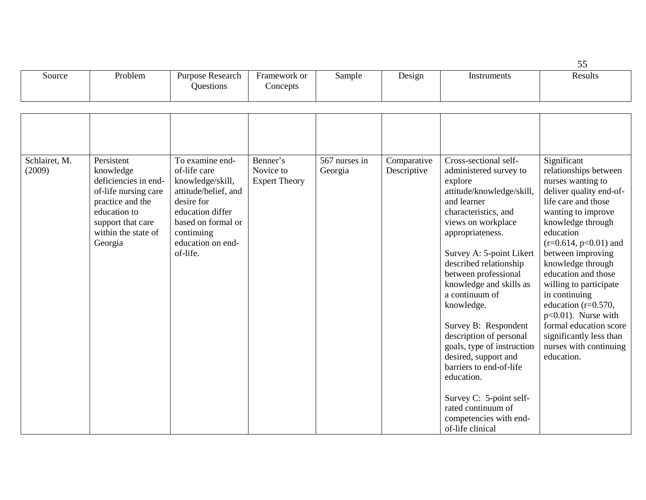| Source<br>. | Problem | Research<br>Purpose.<br><b>Juestions</b> | Framework or<br>oncepts | Sample | Design | Instruments | $\overline{\phantom{a}}$<br>Results |
|-------------|---------|------------------------------------------|-------------------------|--------|--------|-------------|-------------------------------------|
|             |         |                                          |                         |        |        |             |                                     |

| Schlairet, M.<br>(2009) | Persistent<br>knowledge<br>deficiencies in end-<br>of-life nursing care<br>practice and the<br>education to<br>support that care<br>within the state of<br>Georgia | To examine end-<br>of-life care<br>knowledge/skill,<br>attitude/belief, and<br>desire for<br>education differ<br>based on formal or<br>continuing<br>education on end-<br>of-life. | Benner's<br>Novice to<br><b>Expert Theory</b> | 567 nurses in<br>Georgia | Comparative<br>Descriptive | Cross-sectional self-<br>administered survey to<br>explore<br>attitude/knowledge/skill,<br>and learner<br>characteristics, and<br>views on workplace<br>appropriateness.<br>Survey A: 5-point Likert<br>described relationship<br>between professional<br>knowledge and skills as<br>a continuum of<br>knowledge.<br>Survey B: Respondent<br>description of personal<br>goals, type of instruction<br>desired, support and<br>barriers to end-of-life<br>education.<br>Survey C: 5-point self-<br>rated continuum of<br>competencies with end-<br>of-life clinical | Significant<br>relationships between<br>nurses wanting to<br>deliver quality end-of-<br>life care and those<br>wanting to improve<br>knowledge through<br>education<br>$(r=0.614, p<0.01)$ and<br>between improving<br>knowledge through<br>education and those<br>willing to participate<br>in continuing<br>education ( $r=0.570$ ,<br>$p<0.01$ ). Nurse with<br>formal education score<br>significantly less than<br>nurses with continuing<br>education. |
|-------------------------|--------------------------------------------------------------------------------------------------------------------------------------------------------------------|------------------------------------------------------------------------------------------------------------------------------------------------------------------------------------|-----------------------------------------------|--------------------------|----------------------------|--------------------------------------------------------------------------------------------------------------------------------------------------------------------------------------------------------------------------------------------------------------------------------------------------------------------------------------------------------------------------------------------------------------------------------------------------------------------------------------------------------------------------------------------------------------------|--------------------------------------------------------------------------------------------------------------------------------------------------------------------------------------------------------------------------------------------------------------------------------------------------------------------------------------------------------------------------------------------------------------------------------------------------------------|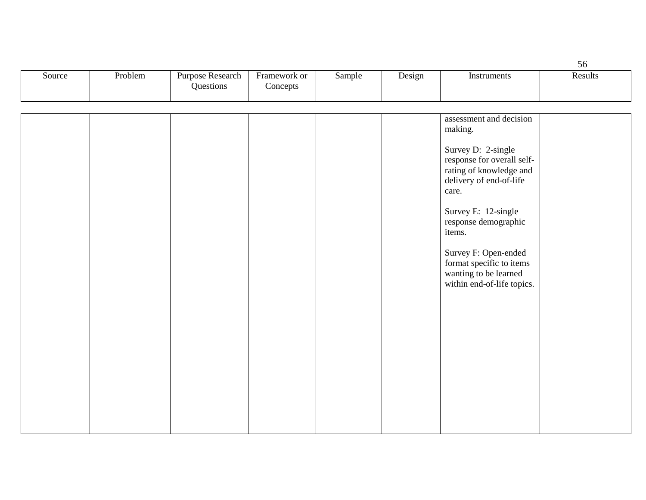|        |         |                                             |                          |        |        |             | ჂႩ      |
|--------|---------|---------------------------------------------|--------------------------|--------|--------|-------------|---------|
| Source | Problem | <b>Purpose Research</b><br><b>Ouestions</b> | Framework or<br>Concepts | Sample | Design | Instruments | Results |

|  |  |  | assessment and decision<br>making.                                                                              |  |
|--|--|--|-----------------------------------------------------------------------------------------------------------------|--|
|  |  |  | Survey D: 2-single<br>response for overall self-<br>rating of knowledge and<br>delivery of end-of-life<br>care. |  |
|  |  |  | Survey E: 12-single<br>response demographic<br>items.                                                           |  |
|  |  |  | Survey F: Open-ended<br>format specific to items<br>wanting to be learned<br>within end-of-life topics.         |  |
|  |  |  |                                                                                                                 |  |
|  |  |  |                                                                                                                 |  |
|  |  |  |                                                                                                                 |  |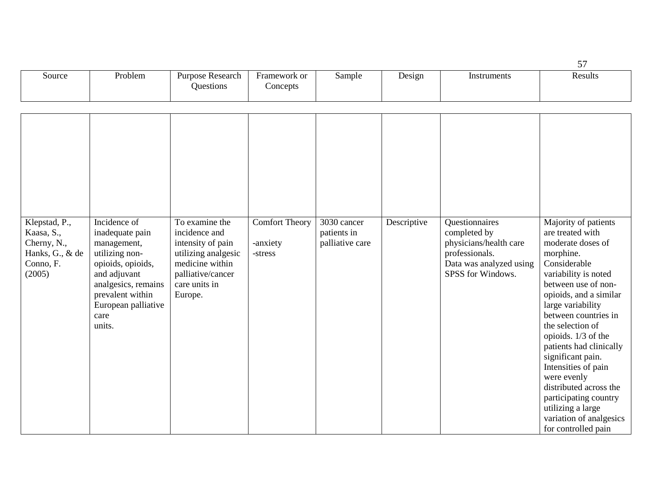| Source | Problem | Purpose Research<br><b>Juestions</b> | Framework or<br>Concepts | Sample | Design | Instruments | Results |
|--------|---------|--------------------------------------|--------------------------|--------|--------|-------------|---------|

| Klepstad, P.,<br>Kaasa, S.,<br>Cherny, N.,<br>Hanks, G., & de<br>Conno, F.<br>(2005) | Incidence of<br>inadequate pain<br>management,<br>utilizing non-<br>opioids, opioids,<br>and adjuvant<br>analgesics, remains<br>prevalent within<br>European palliative<br>care<br>units. | To examine the<br>incidence and<br>intensity of pain<br>utilizing analgesic<br>medicine within<br>palliative/cancer<br>care units in<br>Europe. | <b>Comfort Theory</b><br>-anxiety<br>-stress | 3030 cancer<br>patients in<br>palliative care | Descriptive | Questionnaires<br>completed by<br>physicians/health care<br>professionals.<br>Data was analyzed using<br>SPSS for Windows. | Majority of patients<br>are treated with<br>moderate doses of<br>morphine.<br>Considerable<br>variability is noted<br>between use of non-<br>opioids, and a similar<br>large variability<br>between countries in<br>the selection of<br>opioids. 1/3 of the<br>patients had clinically<br>significant pain.<br>Intensities of pain<br>were evenly<br>distributed across the<br>participating country<br>utilizing a large<br>variation of analgesics<br>for controlled pain |
|--------------------------------------------------------------------------------------|-------------------------------------------------------------------------------------------------------------------------------------------------------------------------------------------|-------------------------------------------------------------------------------------------------------------------------------------------------|----------------------------------------------|-----------------------------------------------|-------------|----------------------------------------------------------------------------------------------------------------------------|-----------------------------------------------------------------------------------------------------------------------------------------------------------------------------------------------------------------------------------------------------------------------------------------------------------------------------------------------------------------------------------------------------------------------------------------------------------------------------|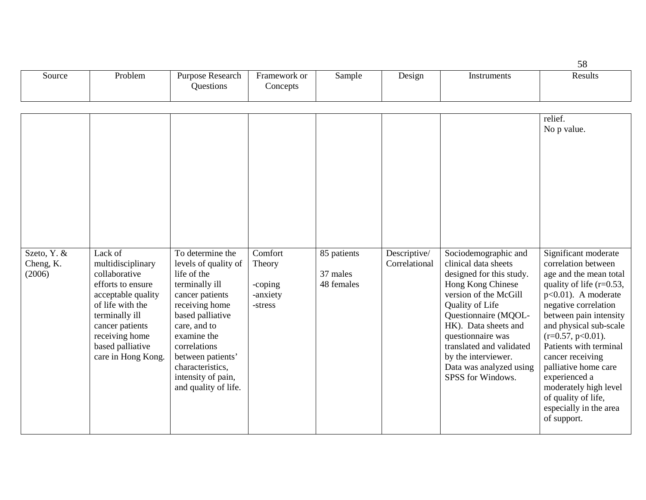| Source | Problem | Research<br>Purpose<br><b>Juestions</b> | Framework or<br>oncepts | Sample | $\overline{\phantom{a}}$<br>Design<br>. . | truments | Results |
|--------|---------|-----------------------------------------|-------------------------|--------|-------------------------------------------|----------|---------|
|        |         |                                         |                         |        |                                           |          |         |

|                                    |                                                                                                                                                                                                               |                                                                                                                                                                                                                                                                          |                                                     |                                       |                               |                                                                                                                                                                                                                                                                                                                   | relief.<br>No p value.                                                                                                                                                                                                                                                                                                                                                                                              |
|------------------------------------|---------------------------------------------------------------------------------------------------------------------------------------------------------------------------------------------------------------|--------------------------------------------------------------------------------------------------------------------------------------------------------------------------------------------------------------------------------------------------------------------------|-----------------------------------------------------|---------------------------------------|-------------------------------|-------------------------------------------------------------------------------------------------------------------------------------------------------------------------------------------------------------------------------------------------------------------------------------------------------------------|---------------------------------------------------------------------------------------------------------------------------------------------------------------------------------------------------------------------------------------------------------------------------------------------------------------------------------------------------------------------------------------------------------------------|
| Szeto, Y. &<br>Cheng, K.<br>(2006) | Lack of<br>multidisciplinary<br>collaborative<br>efforts to ensure<br>acceptable quality<br>of life with the<br>terminally ill<br>cancer patients<br>receiving home<br>based palliative<br>care in Hong Kong. | To determine the<br>levels of quality of<br>life of the<br>terminally ill<br>cancer patients<br>receiving home<br>based palliative<br>care, and to<br>examine the<br>correlations<br>between patients'<br>characteristics,<br>intensity of pain,<br>and quality of life. | Comfort<br>Theory<br>-coping<br>-anxiety<br>-stress | 85 patients<br>37 males<br>48 females | Descriptive/<br>Correlational | Sociodemographic and<br>clinical data sheets<br>designed for this study.<br>Hong Kong Chinese<br>version of the McGill<br>Quality of Life<br>Questionnaire (MQOL-<br>HK). Data sheets and<br>questionnaire was<br>translated and validated<br>by the interviewer.<br>Data was analyzed using<br>SPSS for Windows. | Significant moderate<br>correlation between<br>age and the mean total<br>quality of life $(r=0.53)$ ,<br>$p<0.01$ ). A moderate<br>negative correlation<br>between pain intensity<br>and physical sub-scale<br>$(r=0.57, p<0.01)$ .<br>Patients with terminal<br>cancer receiving<br>palliative home care<br>experienced a<br>moderately high level<br>of quality of life,<br>especially in the area<br>of support. |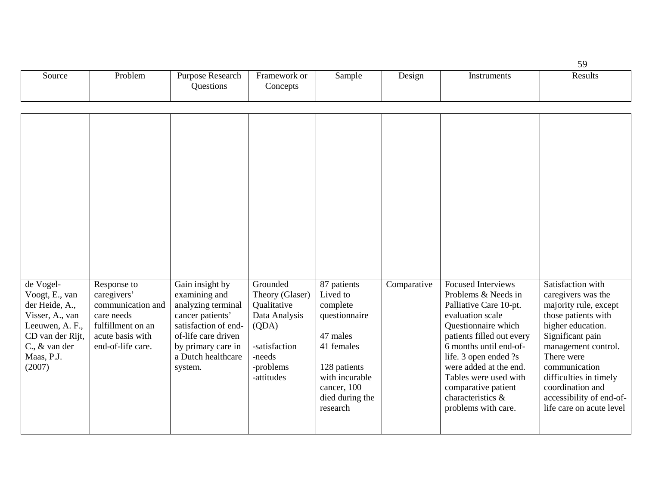|        |         |                                      |                          |        |                                    |             | ້            |
|--------|---------|--------------------------------------|--------------------------|--------|------------------------------------|-------------|--------------|
| Source | Problem | Purpose Research<br><b>Ouestions</b> | Framework or<br>Concepts | Sample | $\overline{\phantom{a}}$<br>Design | Instruments | Results<br>. |

| de Vogel-<br>Voogt, E., van<br>der Heide, A.,<br>Visser, A., van<br>Leeuwen, A. F.,<br>CD van der Rijt,<br>C., & van der<br>Maas, P.J.<br>(2007) | Response to<br>caregivers'<br>communication and<br>care needs<br>fulfillment on an<br>acute basis with<br>end-of-life care. | Gain insight by<br>examining and<br>analyzing terminal<br>cancer patients'<br>satisfaction of end-<br>of-life care driven<br>by primary care in<br>a Dutch healthcare<br>system. | Grounded<br>Theory (Glaser)<br>Qualitative<br>Data Analysis<br>(QDA)<br>-satisfaction<br>-needs<br>-problems<br>-attitudes | 87 patients<br>Lived to<br>complete<br>questionnaire<br>47 males<br>41 females<br>128 patients<br>with incurable<br>cancer, 100<br>died during the<br>research | Comparative | <b>Focused Interviews</b><br>Problems & Needs in<br>Palliative Care 10-pt.<br>evaluation scale<br>Questionnaire which<br>patients filled out every<br>6 months until end-of-<br>life. 3 open ended ?s<br>were added at the end.<br>Tables were used with<br>comparative patient<br>characteristics &<br>problems with care. | Satisfaction with<br>caregivers was the<br>majority rule, except<br>those patients with<br>higher education.<br>Significant pain<br>management control.<br>There were<br>communication<br>difficulties in timely<br>coordination and<br>accessibility of end-of-<br>life care on acute level |
|--------------------------------------------------------------------------------------------------------------------------------------------------|-----------------------------------------------------------------------------------------------------------------------------|----------------------------------------------------------------------------------------------------------------------------------------------------------------------------------|----------------------------------------------------------------------------------------------------------------------------|----------------------------------------------------------------------------------------------------------------------------------------------------------------|-------------|-----------------------------------------------------------------------------------------------------------------------------------------------------------------------------------------------------------------------------------------------------------------------------------------------------------------------------|----------------------------------------------------------------------------------------------------------------------------------------------------------------------------------------------------------------------------------------------------------------------------------------------|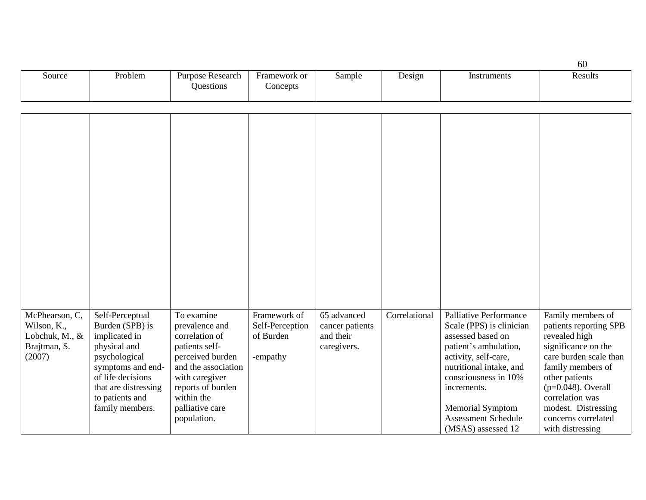|        |         |                                      |                          |        |        |             | 60      |
|--------|---------|--------------------------------------|--------------------------|--------|--------|-------------|---------|
| Source | Problem | <b>Purpose Research</b><br>Ouestions | Framework or<br>Concepts | Sample | Design | Instruments | Results |

| McPhearson, C,<br>Wilson, K.,<br>Lobchuk, M., &<br>Brajtman, S.<br>(2007) | Self-Perceptual<br>Burden (SPB) is<br>implicated in<br>physical and<br>psychological<br>symptoms and end-<br>of life decisions<br>that are distressing<br>to patients and<br>family members. | To examine<br>prevalence and<br>correlation of<br>patients self-<br>perceived burden<br>and the association<br>with caregiver<br>reports of burden<br>within the<br>palliative care<br>population. | Framework of<br>Self-Perception<br>of Burden<br>-empathy | 65 advanced<br>cancer patients<br>and their<br>caregivers. | Correlational | Palliative Performance<br>Scale (PPS) is clinician<br>assessed based on<br>patient's ambulation,<br>activity, self-care,<br>nutritional intake, and<br>consciousness in 10%<br>increments.<br><b>Memorial Symptom</b><br><b>Assessment Schedule</b><br>(MSAS) assessed 12 | Family members of<br>patients reporting SPB<br>revealed high<br>significance on the<br>care burden scale than<br>family members of<br>other patients<br>$(p=0.048)$ . Overall<br>correlation was<br>modest. Distressing<br>concerns correlated<br>with distressing |
|---------------------------------------------------------------------------|----------------------------------------------------------------------------------------------------------------------------------------------------------------------------------------------|----------------------------------------------------------------------------------------------------------------------------------------------------------------------------------------------------|----------------------------------------------------------|------------------------------------------------------------|---------------|---------------------------------------------------------------------------------------------------------------------------------------------------------------------------------------------------------------------------------------------------------------------------|--------------------------------------------------------------------------------------------------------------------------------------------------------------------------------------------------------------------------------------------------------------------|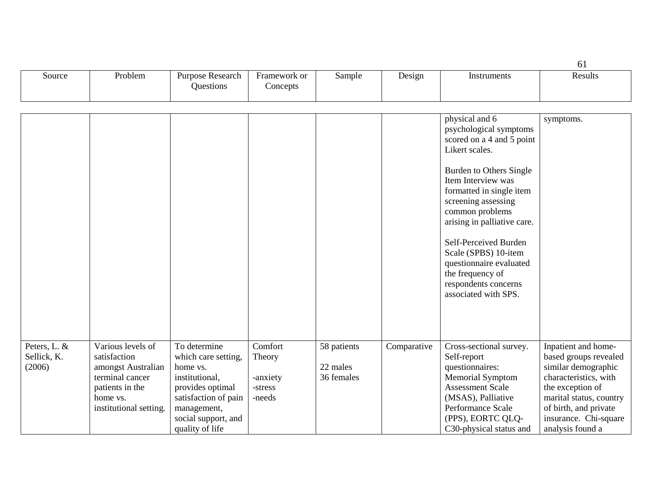|                                       |                                                                                                                                     |                                                                                                                                                                        |                                                    |                                       |             |                                                                                                                                                                                                                                                                                                                                                                                               | 61                                                                                                                                                                                                                |
|---------------------------------------|-------------------------------------------------------------------------------------------------------------------------------------|------------------------------------------------------------------------------------------------------------------------------------------------------------------------|----------------------------------------------------|---------------------------------------|-------------|-----------------------------------------------------------------------------------------------------------------------------------------------------------------------------------------------------------------------------------------------------------------------------------------------------------------------------------------------------------------------------------------------|-------------------------------------------------------------------------------------------------------------------------------------------------------------------------------------------------------------------|
| Source                                | Problem                                                                                                                             | Purpose Research<br>Questions                                                                                                                                          | Framework or<br>Concepts                           | Sample                                | Design      | Instruments                                                                                                                                                                                                                                                                                                                                                                                   | Results                                                                                                                                                                                                           |
|                                       |                                                                                                                                     |                                                                                                                                                                        |                                                    |                                       |             |                                                                                                                                                                                                                                                                                                                                                                                               |                                                                                                                                                                                                                   |
|                                       |                                                                                                                                     |                                                                                                                                                                        |                                                    |                                       |             | physical and 6<br>psychological symptoms<br>scored on a 4 and 5 point<br>Likert scales.<br>Burden to Others Single<br>Item Interview was<br>formatted in single item<br>screening assessing<br>common problems<br>arising in palliative care.<br>Self-Perceived Burden<br>Scale (SPBS) 10-item<br>questionnaire evaluated<br>the frequency of<br>respondents concerns<br>associated with SPS. | symptoms.                                                                                                                                                                                                         |
| Peters, L. &<br>Sellick, K.<br>(2006) | Various levels of<br>satisfaction<br>amongst Australian<br>terminal cancer<br>patients in the<br>home vs.<br>institutional setting. | To determine<br>which care setting,<br>home vs.<br>institutional,<br>provides optimal<br>satisfaction of pain<br>management,<br>social support, and<br>quality of life | Comfort<br>Theory<br>-anxiety<br>-stress<br>-needs | 58 patients<br>22 males<br>36 females | Comparative | Cross-sectional survey.<br>Self-report<br>questionnaires:<br><b>Memorial Symptom</b><br><b>Assessment Scale</b><br>(MSAS), Palliative<br>Performance Scale<br>(PPS), EORTC QLQ-<br>C30-physical status and                                                                                                                                                                                    | Inpatient and home-<br>based groups revealed<br>similar demographic<br>characteristics, with<br>the exception of<br>marital status, country<br>of birth, and private<br>insurance. Chi-square<br>analysis found a |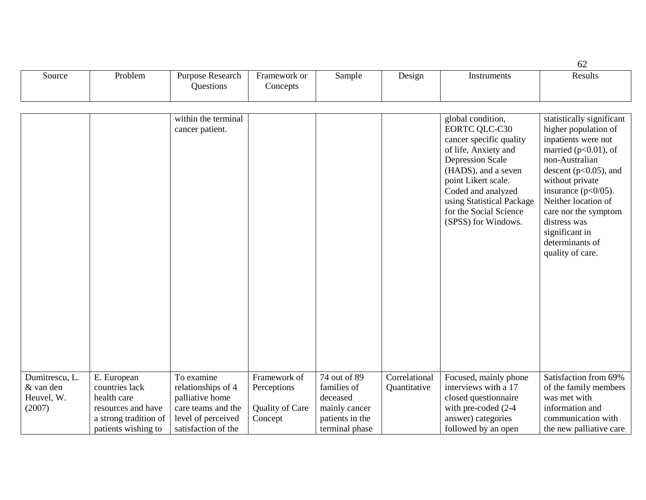|                |                       |                                        |                          |                 |               |                                                                                                                                                                                                                                                                           | 62                                                                                                                                                                                                                                                                                                                       |
|----------------|-----------------------|----------------------------------------|--------------------------|-----------------|---------------|---------------------------------------------------------------------------------------------------------------------------------------------------------------------------------------------------------------------------------------------------------------------------|--------------------------------------------------------------------------------------------------------------------------------------------------------------------------------------------------------------------------------------------------------------------------------------------------------------------------|
| Source         | Problem               | Purpose Research<br>Questions          | Framework or<br>Concepts | Sample          | Design        | Instruments                                                                                                                                                                                                                                                               | Results                                                                                                                                                                                                                                                                                                                  |
|                |                       |                                        |                          |                 |               |                                                                                                                                                                                                                                                                           |                                                                                                                                                                                                                                                                                                                          |
|                |                       |                                        |                          |                 |               |                                                                                                                                                                                                                                                                           |                                                                                                                                                                                                                                                                                                                          |
|                |                       | within the terminal<br>cancer patient. |                          |                 |               | global condition,<br><b>EORTC QLC-C30</b><br>cancer specific quality<br>of life, Anxiety and<br><b>Depression Scale</b><br>(HADS), and a seven<br>point Likert scale.<br>Coded and analyzed<br>using Statistical Package<br>for the Social Science<br>(SPSS) for Windows. | statistically significant<br>higher population of<br>inpatients were not<br>married ( $p<0.01$ ), of<br>non-Australian<br>descent ( $p<0.05$ ), and<br>without private<br>insurance $(p<0/05)$ .<br>Neither location of<br>care nor the symptom<br>distress was<br>significant in<br>determinants of<br>quality of care. |
| Dumitrescu, L. | E. European           | To examine                             | Framework of             | 74 out of 89    | Correlational | Focused, mainly phone                                                                                                                                                                                                                                                     | Satisfaction from 69%                                                                                                                                                                                                                                                                                                    |
| & van den      | countries lack        | relationships of 4                     | Perceptions              | families of     | Quantitative  | interviews with a 17                                                                                                                                                                                                                                                      | of the family members                                                                                                                                                                                                                                                                                                    |
| Heuvel, W.     | health care           | palliative home                        |                          | deceased        |               | closed questionnaire                                                                                                                                                                                                                                                      | was met with                                                                                                                                                                                                                                                                                                             |
| (2007)         | resources and have    | care teams and the                     | Quality of Care          | mainly cancer   |               | with pre-coded (2-4                                                                                                                                                                                                                                                       | information and                                                                                                                                                                                                                                                                                                          |
|                | a strong tradition of | level of perceived                     | Concept                  | patients in the |               | answer) categories                                                                                                                                                                                                                                                        | communication with                                                                                                                                                                                                                                                                                                       |
|                | patients wishing to   | satisfaction of the                    |                          | terminal phase  |               | followed by an open                                                                                                                                                                                                                                                       | the new palliative care                                                                                                                                                                                                                                                                                                  |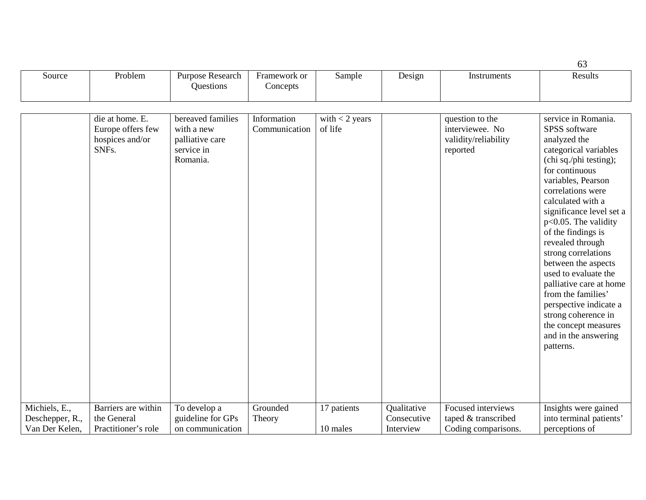|                                  |                                               |                                                         |                          |                  |                            |                                                     | 63                                                                                                                                                                                                                                                                                                                                                                                                                                                                                                       |
|----------------------------------|-----------------------------------------------|---------------------------------------------------------|--------------------------|------------------|----------------------------|-----------------------------------------------------|----------------------------------------------------------------------------------------------------------------------------------------------------------------------------------------------------------------------------------------------------------------------------------------------------------------------------------------------------------------------------------------------------------------------------------------------------------------------------------------------------------|
| Source                           | Problem                                       | Purpose Research<br>Questions                           | Framework or<br>Concepts | Sample           | Design                     | Instruments                                         | Results                                                                                                                                                                                                                                                                                                                                                                                                                                                                                                  |
|                                  | die at home. E.                               | bereaved families                                       | Information              | with $<$ 2 years |                            | question to the                                     | service in Romania.                                                                                                                                                                                                                                                                                                                                                                                                                                                                                      |
|                                  | Europe offers few<br>hospices and/or<br>SNFs. | with a new<br>palliative care<br>service in<br>Romania. | Communication            | of life          |                            | interviewee. No<br>validity/reliability<br>reported | SPSS software<br>analyzed the<br>categorical variables<br>(chi sq./phi testing);<br>for continuous<br>variables, Pearson<br>correlations were<br>calculated with a<br>significance level set a<br>$p<0.05$ . The validity<br>of the findings is<br>revealed through<br>strong correlations<br>between the aspects<br>used to evaluate the<br>palliative care at home<br>from the families'<br>perspective indicate a<br>strong coherence in<br>the concept measures<br>and in the answering<br>patterns. |
| Michiels, E.,<br>Deschepper, R., | Barriers are within<br>the General            | To develop a<br>guideline for GPs                       | Grounded<br>Theory       | 17 patients      | Qualitative<br>Consecutive | Focused interviews<br>taped & transcribed           | Insights were gained<br>into terminal patients'                                                                                                                                                                                                                                                                                                                                                                                                                                                          |
| Van Der Kelen,                   | Practitioner's role                           | on communication                                        |                          | 10 males         | Interview                  | Coding comparisons.                                 | perceptions of                                                                                                                                                                                                                                                                                                                                                                                                                                                                                           |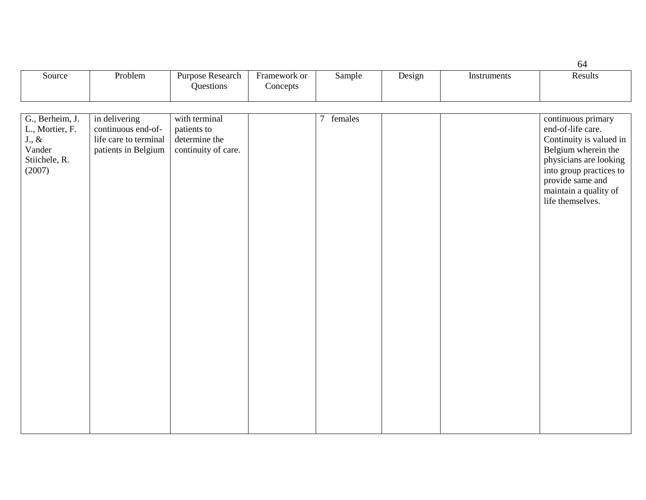|                                                                                      |                                                                                     |                                                                      |                          |           |        |             | 64                                                                                                                                                                                                              |
|--------------------------------------------------------------------------------------|-------------------------------------------------------------------------------------|----------------------------------------------------------------------|--------------------------|-----------|--------|-------------|-----------------------------------------------------------------------------------------------------------------------------------------------------------------------------------------------------------------|
| Source                                                                               | Problem                                                                             | Purpose Research<br>Questions                                        | Framework or<br>Concepts | Sample    | Design | Instruments | Results                                                                                                                                                                                                         |
|                                                                                      |                                                                                     |                                                                      |                          |           |        |             |                                                                                                                                                                                                                 |
| G., Berheim, J.<br>L., Mortier, F.<br>$J.,\,\&$<br>Vander<br>Stiichele, R.<br>(2007) | in delivering<br>continuous end-of-<br>life care to terminal<br>patients in Belgium | with terminal<br>patients to<br>determine the<br>continuity of care. |                          | 7 females |        |             | continuous primary<br>end-of-life care.<br>Continuity is valued in<br>Belgium wherein the<br>physicians are looking<br>into group practices to<br>provide same and<br>maintain a quality of<br>life themselves. |